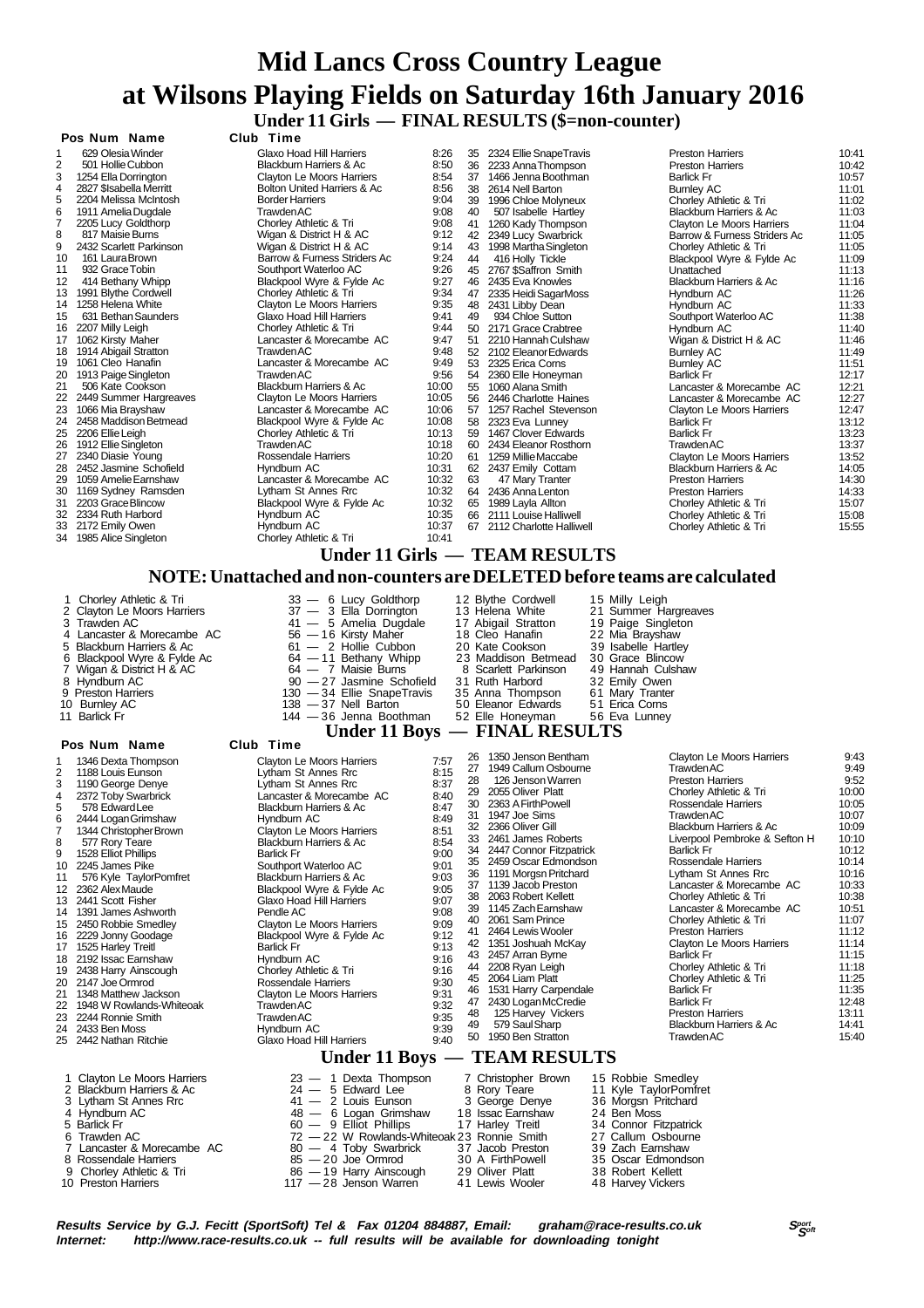### **Mid Lancs Cross Country League at Wilsons Playing Fields on Saturday 16th January 2016 Under 11 Girls — FINAL RESULTS (\$=non-counter) Pos Num Name Club Time**

|    | və IVUIII IVUIIIV        |                                                                           |       |    |                               |                                  |       |
|----|--------------------------|---------------------------------------------------------------------------|-------|----|-------------------------------|----------------------------------|-------|
| 1  | 629 Olesia Winder        | Glaxo Hoad Hill Harriers                                                  | 8:26  | 35 | 2324 Ellie SnapeTravis        | <b>Preston Harriers</b>          | 10:41 |
| 2  | 501 Hollie Cubbon        | Blackburn Harriers & Ac                                                   | 8:50  |    | 36 2233 Anna Thompson         | <b>Preston Harriers</b>          | 10:42 |
| 3  | 1254 Ella Dorrington     | Clayton Le Moors Harriers                                                 | 8:54  |    | 37 1466 Jenna Boothman        | <b>Barlick Fr</b>                | 10:57 |
| 4  | 2827 \$Isabella Merritt  | Bolton United Harriers & Ac                                               | 8:56  | 38 | 2614 Nell Barton              | <b>Burnley AC</b>                | 11:01 |
| 5  | 2204 Melissa McIntosh    | <b>Border Harriers</b>                                                    | 9:04  |    | 39 1996 Chloe Molyneux        | Chorley Athletic & Tri           | 11:02 |
| 6  | 1911 Amelia Dugdale      | <b>Trawden AC</b>                                                         | 9:08  | 40 | 507 Isabelle Hartley          | Blackburn Harriers & Ac          | 11:03 |
|    | 2205 Lucy Goldthorp      | Chorley Athletic & Tri                                                    | 9:08  |    | 41 1260 Kady Thompson         | <b>Clayton Le Moors Harriers</b> | 11:04 |
| 8  | 817 Maisie Burns         | Wigan & District H & AC                                                   | 9:12  |    | 42 2349 Lucy Swarbrick        | Barrow & Furness Striders Ac     | 11:05 |
| 9  | 2432 Scarlett Parkinson  | Wigan & District H & AC                                                   | 9:14  | 43 | 1998 Martha Singleton         | Chorley Athletic & Tri           | 11:05 |
| 10 | 161 Laura Brown          | Barrow & Furness Striders Ac                                              | 9:24  | 44 | 416 Holly Tickle              | Blackpool Wyre & Fylde Ac        | 11:09 |
| 11 | 932 Grace Tobin          | Southport Waterloo AC                                                     | 9:26  | 45 | 2767 \$Saffron Smith          | Unattached                       | 11:13 |
| 12 | 414 Bethany Whipp        | Blackpool Wyre & Fylde Ac                                                 | 9:27  |    | 46 2435 Eva Knowles           | Blackburn Harriers & Ac          | 11:16 |
| 13 | 1991 Blythe Cordwell     | Chorley Athletic & Tri                                                    | 9:34  |    | 47 2335 Heidi SagarMoss       | Hyndburn AC                      | 11:26 |
| 14 | 1258 Helena White        | Clayton Le Moors Harriers                                                 | 9:35  |    | 48 2431 Libby Dean            | Hyndburn AC                      | 11:33 |
| 15 | 631 Bethan Saunders      | Glaxo Hoad Hill Harriers                                                  | 9:41  | 49 | 934 Chloe Sutton              | Southport Waterloo AC            | 11:38 |
| 16 | 2207 Milly Leigh         | Chorley Athletic & Tri                                                    | 9:44  |    | 50 2171 Grace Crabtree        | Hyndburn AC                      | 11:40 |
| 17 | 1062 Kirsty Maher        | Lancaster & Morecambe AC                                                  | 9:47  |    | 51 2210 Hannah Culshaw        | Wigan & District H & AC          | 11:46 |
| 18 | 1914 Abigail Stratton    | Trawden AC                                                                | 9:48  |    | 52 2102 Eleanor Edwards       | <b>Burnley AC</b>                | 11:49 |
| 19 | 1061 Cleo Hanafin        | Lancaster & Morecambe AC                                                  | 9:49  |    | 53 2325 Erica Corns           | <b>Burnley AC</b>                | 11:51 |
| 20 | 1913 Paige Singleton     | <b>Trawden AC</b>                                                         | 9:56  |    | 54 2360 Elle Honeyman         | <b>Barlick Fr</b>                | 12:17 |
| 21 | 506 Kate Cookson         | Blackburn Harriers & Ac                                                   | 10:00 |    | 55 1060 Alana Smith           | Lancaster & Morecambe AC         | 12:21 |
| 22 | 2449 Summer Hargreaves   | <b>Clayton Le Moors Harriers</b>                                          | 10:05 |    | 56 2446 Charlotte Haines      | Lancaster & Morecambe AC         | 12:27 |
| 23 | 1066 Mia Brayshaw        | Lancaster & Morecambe AC                                                  | 10:06 |    | 57 1257 Rachel Stevenson      | <b>Clayton Le Moors Harriers</b> | 12:47 |
| 24 | 2458 Maddison Betmead    | Blackpool Wyre & Fylde Ac                                                 | 10:08 |    | 58 2323 Eva Lunney            | <b>Barlick Fr</b>                | 13:12 |
| 25 | 2206 Ellie Leigh         | Chorley Athletic & Tri                                                    | 10:13 |    | 59 1467 Clover Edwards        | <b>Barlick Fr</b>                | 13:23 |
| 26 | 1912 Ellie Singleton     | <b>Trawden AC</b>                                                         | 10:18 |    | 60 2434 Eleanor Rosthorn      | <b>Trawden AC</b>                | 13:37 |
| 27 | 2340 Diasie Young        | Rossendale Harriers                                                       | 10:20 |    | 61 1259 Millie Maccabe        | Clayton Le Moors Harriers        | 13:52 |
| 28 | 2452 Jasmine Schofield   | Hyndburn AC                                                               | 10:31 |    | 62 2437 Emily Cottam          | Blackburn Harriers & Ac          | 14:05 |
| 29 | 1059 Amelie Earnshaw     | Lancaster & Morecambe AC                                                  | 10:32 | 63 | 47 Mary Tranter               | <b>Preston Harriers</b>          | 14:30 |
| 30 | 1169 Sydney Ramsden      | Lytham St Annes Rrc                                                       | 10:32 |    | 64 2436 Anna Lenton           | <b>Preston Harriers</b>          | 14:33 |
| 31 | 2203 Grace Blincow       | Blackpool Wyre & Fylde Ac                                                 | 10:32 |    | 65 1989 Layla Allton          | Chorley Athletic & Tri           | 15:07 |
|    | 32 2334 Ruth Harbord     | Hyndburn AC                                                               | 10:35 |    | 66 2111 Louise Halliwell      | Chorley Athletic & Tri           | 15:08 |
|    | 33 2172 Emily Owen       | Hyndburn AC                                                               | 10:37 |    | 67 2112 Charlotte Halliwell   | Chorley Athletic & Tri           | 15:55 |
| 34 | 1985 Alice Singleton     | Chorley Athletic & Tri                                                    | 10:41 |    |                               |                                  |       |
|    |                          |                                                                           |       |    | Under 11 Girls — TEAM RESULTS |                                  |       |
|    |                          | NOTE: Unattached and non-counters are DELETED before teams are calculated |       |    |                               |                                  |       |
|    |                          |                                                                           |       |    |                               |                                  |       |
|    | 1 Chorley Athletic & Tri | 33 - 6 Lucy Goldthorp                                                     |       |    | 12 Blythe Cordwell            | 15 Milly Leigh                   |       |

2 Clayton Le Moors Harriers 37 — 3 Ella Dorrington 13 Helena White 21 Summer Hargreaves<br>3 Trawden AC 3 Amelia Dugdale 17 Abigail Stratton 19 Paige Singleton<br>4 Lancaster & Morecambe AC 56 — 16 Kirsty Maher 18 Cleo Hanafin 2 3 Trawden AC 41 — 5 Amelia Dugdale 17 Abigail Stratton 19 Paige Singleton 4 Lancaster & Morecambe AC 56 — 16 Kirsty Maher 18 Cleo Hanafin 22 Mia Brayshaw 5 Blackburn Harriers & Ac 61 — 2 Hollie Cubbon 20 Kate Cookson 39 Isabelle Hartley 6 Blackpool Wyre & Fylde Ac 64 — 11 Bethany Whipp 23 Maddison Betmead 30 Grace Blincow 7 Wigan & District H & AC 64 — 7 Maisie Burns 8 Scarlett Parkinson 49 Hannah Culshaw 8 Hyndburn AC 90 — 27 Jasmine Schofield 31 Ruth Harbord 32 Emily Owen 9 Preston Harriers 130 — 34 Ellie SnapeTravis 35 Anna Thompson 61 Mary Tranter 10 Burnley AC 138 — 37 Nell Barton 50 Eleanor Edwards 51 Erica Corns  $\begin{array}{rcl}\n 11 \text{ Barlici H} & 11 \text{ Barlici H} \\
 12 \text{ Majn A} & 11 \text{ Barlici H} \\
 130 - 34 \text{ Ellie ShapeTravis} \\
 144 - 36 \text{ Jennia B} \\
 150 \text{ Najn A} \\
 164 - 7 \text{ Maisie Burne Schoffeld} \\
 17 \text{ Maisie Burne Schoffeld} \\
 18 \text{ Aarlici H} & 130 - 34 \text{ Ellie ShapeTravis} \\
 18 \text{ Aarlici H} & 130 - 34 \text{ Ellie ShapeTravis$ **11 Boys — FINAL RESULTS**<br>**26. AUGUST LANGE DIVIDENDIARY CONTRACT CONTRACT CONTRACT CONTRACT CONTRACT CONTRACT CONTRACT CONTRACT CONTRACT CONTRACT CONTRACT CONTRACT CONTRACT CONTRACT CONTRACT CONTRACT CONTRACT CONTRACT CON** 1 1346 Dexta Thompson Clayton Le Moors Harriers 7:57<br>2 1188 Louis Eunson Curriers Lytham St Annes Rrc 8:15 2 1188 Louis Eunson Lytham St Annes Rrc 8:15<br>2 1188 Louis Eunson Lytham St Annes Rrc 8:15<br>2 1190 George Denye Lytham St Annes Rrc 8:37 3 1190 George Denye Lytham St Annes Rrc 8:37 4 2372 Toby Swarbrick Lancaster & Morecambe AC 8:40 5 578 Edward Lee Blackburn Harriers & Ac 8:47<br>
6 2444 Logan Grimshaw Hyndburn AC 8:47<br>
8:49 Blackburn Harriers & Ac 8:49 6 2444 Logan Grimshaw Hyndburn AC 8:49<br>7 1344 Christopher Brown Clayton Le Moors Harriers 8:51 7 1344 Christopher Brown Clayton Le Moors Harriers 8:51<br>8 577 Rory Teare Blackburn Harriers & Ac 8:54 8 577 Rory Teare Blackburn Harriers & Ac 8:54<br>9 1528 Elliot Phillips **Barlick Frumers Barlick Fr** 9 1528 Elliot Phillips **Barlick Fr** 9:00 Barlick Fr 9:00<br>10 2245 James Pike **Barlies Bouthport Waterloo AC** 9:01 10 200<br>101 10 2011 Slackburn Harriers & Ac 9:03 11 576 Kyle TaylorPomfret Blackburn Harriers & Ac 9:03 2362 Alex Maude Blackpool Wyre & Fylde Ac 9:05<br>2441 Scott Fisher Glaxo Hoad Hill Harriers 9:07 13 2441 Scott Fisher Glaxo Hoad Hill Harriers<br>14 1391 James Ashworth Pendle AC 14 1391 James Ashworth **Pendle AC** 9:08<br>15 2450 Robbie Smedley **Pendle AC Clayton Le Moors Harriers** 9:09 2450 Robbie Smedley Clayton Le Moors Harriers 9:09<br>2229 Jonny Goodage Blackpool Wyre & Fylde Ac 9:12 16 2229 Jonny Goodage Blackpool Wyre & Fylde Ac 9:12<br>17 1525 Harley Treitl Barlick Francisc Branch Barlick Fr 17 1525 Harley Treitl Christian Barlick Fr 11 1525 Harley Treitl Barlick Fr 11 1525 Harley St. 16<br>18 16 16 17 1821 Hyndburn AC 1521 1621 1631 1642 17:16 192 Issac Earnshaw Hyndburn AC 9:16<br>2192 Issac Earnshaw Hyndburn AC 9:16<br>2438 Harry Ainscough Chorley Athletic & Tri 9:16 19 2438 Harry Ainscough<br>20 2147 Joe Ormrod 20 2147 Joe Ormrod Chorley Athletic & Tri 9:16<br>20 2147 Joe Ormrod Rossendale Harriers 9:30<br>21 1348 Matthew Jackson Clayton Le Moors Harriers 9:31 21 1348 Matthew Jackson Clayton Le Moors Harriers 9:31<br>22 1948 W Rowlands-Whiteoak Trawden AC 9:32<br>23 2244 Ronnie Smith Trawden AC 9:35 1948 W Rowlands-Whiteoak Trawden AC<br>2244 Ronnie Smith Trawden AC 23 2244 Ronnie Smith Trawden AC 9:35 24 2433 Ben Moss Hyndburn AC 9:39 Glaxo Hoad Hill Harriers 26 1350 Jenson Bentham Clayton Le Moors Harriers 9:43 27 1949 Callum Osbourne Trawden AC 127 1949 Callum Osbourne Trawden AC 126 126 126 9:49<br>28 126 Jenson Warren Preston Harriers 9:52 28 126 Jenson Warren **Preston Harriers** 9:52<br>28 126 Jenson Warren Preston Harriers 9:52<br>29 2055 Oliver Platt **Preston Harriers** Chorley Athletic & Tri 29 2055 Oliver Platt Chorley Athletic & Tri 10:00 30 2363 A FirthPowell Rossendale Harriers 10:05 31 1947 Joe Sims Trawden AC 10:07<br>32 2366 Oliver Gill Rackburn Harriers & Ac 10:07 32 2366 Oliver Gill Blackburn Harriers & Ac 10:09 33 2461 James Roberts Liverpool Pembroke & Sefton H 10:10<br>34 2447 Connor Fitzpatrick Barlick Fr Barlick Fr 10:12 34 2447 Connor Fitzpatrick Barlick Fr 10:12<br>35 2459 Oscar Edmondson Rossendale Harriers 10:14 35 2459 Oscar Edmondson Rossendale Harriers 10:14 36 1191 Morgsn Pritchard Lytham St Annes Rrc 10:16 37 1139 Jacob Preston Lancaster & Morecambe AC 10:33<br>38 2063 Robert Kellett Chorley Athletic & Tri 38 2063 Robert Kellett Chorley Athletic & Tri 10:38 39 1145 Zach Earnshaw Lancaster & Morecambe AC 10:51<br>40 2061 Sam Prince Chorley Athletic & Tri 40 2061 Sam Prince Chorley Athletic & Tri 11:07<br>41 2464 Lewis Wooler Preston Harriers 11:17 41 2464 Lewis Wooler **Preston Harriers** 11:12<br>42 1351 Joshuah McKay **Preston Le Moors Harriers** 11:14 42 1351 Joshuah McKay Clayton Le Moors Harriers 11:14<br>43 2457 Arran Byrne Barlick Fr Barlick Fr 11:15 43 2457 Arran Byrne Barlick Fr 11:15<br>44 2208 Ryan Leigh Barlick Fr 11:15<br>44 2208 Ryan Leigh Barlick Fr 11:18 44 2208 Ryan Leigh Chorley Athletic & Tri 11:18 45 2064 Liam Platt Chorley Athletic & Tri 11:25<br>46 1531 Harry Carpendale Barlick Fr 11:35 46 1531 Harry Carpendale Barlick Francesco († 11:35<br>47 1430 Harry Carpendale Barlick Fr 12:35<br>47 2430 Logan McCredie Barlick Fr 12:48 47 2430 Logan McCredie Barlick Fr 12:48 48 125 Harvey Vickers **13:11** Preston Harriers 13:11<br>49 14:41 A9 Saul Sharp **Preston Harriers 8 Ac** 14:41 11 Blackburn Harriers & Ac 14:41<br>Trawden AC 15:40 50 1950 Ben Stratton  **Under 11 Boys — TEAM RESULTS** 1 Clayton Le Moors Harriers  $23 - 1$  Dexta Thompson  $7$  Christopher Brown 15 Robbie Smedley<br>
2 Blackburn Harriers & Ac  $24 - 5$  Edward Lee  $8$  Rory Teare  $11$  Kyle Taylor Pondret<br>
4 Lyndburn AC  $48 - 6$  Logan Grimshaw  $18$  I 9 Chorley Athletic & Tri 86 — 19 Harry Ainscough 29 Oliver Platt 38 Robert Kellett 10 Preston Harriers 117 — 28 Jenson Warren 41 Lewis Wooler 48 Harvey Vickers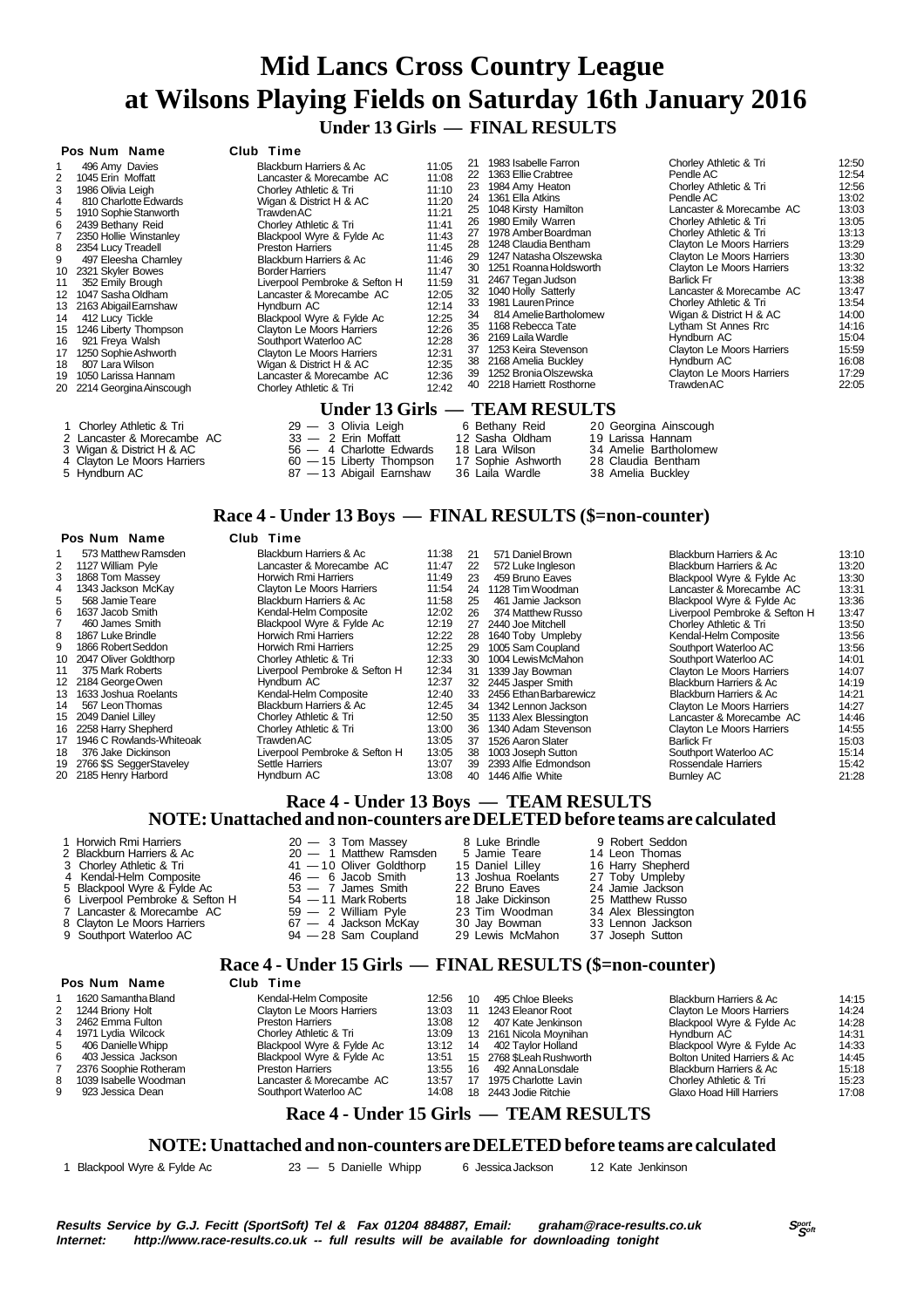## **Mid Lancs Cross Country League at Wilsons Playing Fields on Saturday 16th January 2016 Under 13 Girls — FINAL RESULTS**

|                                                                                                     | Pos Num Name                                                                                                                                                                                                                                                                                                                                                                                                                    | Club Time                                                                                                                                                                                                                                                                                                                                                                                                                                                                                                                   |                                                                                                                                                                         |                                                                                                                |                                                                                                                                                                                                                                                                                                                                                                                                                                                                                |                                                                                                                                                                                                                                                                                                                                                                                                                                                                                      |                                                                                                                                                                                  |
|-----------------------------------------------------------------------------------------------------|---------------------------------------------------------------------------------------------------------------------------------------------------------------------------------------------------------------------------------------------------------------------------------------------------------------------------------------------------------------------------------------------------------------------------------|-----------------------------------------------------------------------------------------------------------------------------------------------------------------------------------------------------------------------------------------------------------------------------------------------------------------------------------------------------------------------------------------------------------------------------------------------------------------------------------------------------------------------------|-------------------------------------------------------------------------------------------------------------------------------------------------------------------------|----------------------------------------------------------------------------------------------------------------|--------------------------------------------------------------------------------------------------------------------------------------------------------------------------------------------------------------------------------------------------------------------------------------------------------------------------------------------------------------------------------------------------------------------------------------------------------------------------------|--------------------------------------------------------------------------------------------------------------------------------------------------------------------------------------------------------------------------------------------------------------------------------------------------------------------------------------------------------------------------------------------------------------------------------------------------------------------------------------|----------------------------------------------------------------------------------------------------------------------------------------------------------------------------------|
| 3<br>4<br>5<br>6<br>8<br>9<br>10<br>11<br>12 <sup>2</sup><br>13<br>14<br>15<br>16<br>17<br>18<br>19 | 496 Amy Davies<br>1045 Erin Moffatt<br>1986 Olivia Leigh<br>810 Charlotte Edwards<br>1910 Sophie Stanworth<br>2439 Bethany Reid<br>2350 Hollie Winstanley<br>2354 Lucy Treadell<br>497 Eleesha Charnley<br>2321 Skyler Bowes<br>352 Emily Brough<br>1047 Sasha Oldham<br>2163 Abigail Earnshaw<br>412 Lucy Tickle<br>1246 Liberty Thompson<br>921 Freya Walsh<br>1250 Sophie Ashworth<br>807 Lara Wilson<br>1050 Larissa Hannam | Blackburn Harriers & Ac<br>Lancaster & Morecambe AC<br>Chorley Athletic & Tri<br>Wigan & District H & AC<br>Trawden AC<br>Chorley Athletic & Tri<br>Blackpool Wyre & Fylde Ac<br><b>Preston Harriers</b><br><b>Blackburn Harriers &amp; Ac</b><br><b>Border Harriers</b><br>Liverpool Pembroke & Sefton H<br>Lancaster & Morecambe AC<br>Hyndburn AC<br>Blackpool Wyre & Fylde Ac<br>Clayton Le Moors Harriers<br>Southport Waterloo AC<br>Clayton Le Moors Harriers<br>Wigan & District H & AC<br>Lancaster & Morecambe AC | 11:05<br>11:08<br>11:10<br>11:20<br>11:21<br>11:41<br>11:43<br>11:45<br>11:46<br>11:47<br>11:59<br>12:05<br>12:14<br>12:25<br>12:26<br>12:28<br>12:31<br>12:35<br>12:36 | 21<br>22<br>23<br>24<br>25<br>26<br>27<br>28<br>29<br>31<br>32<br>33<br>34<br>35<br>36<br>37<br>38<br>39<br>40 | 1983 Isabelle Farron<br>1363 Ellie Crabtree<br>1984 Amy Heaton<br>1361 Ella Atkins<br>1048 Kirsty Hamilton<br>1980 Emily Warren<br>1978 Amber Boardman<br>1248 Claudia Bentham<br>1247 Natasha Olszewska<br>30 1251 Roanna Holdsworth<br>2467 Tegan Judson<br>1040 Holly Satterly<br>1981 Lauren Prince<br>814 Amelie Bartholomew<br>1168 Rebecca Tate<br>2169 Laila Wardle<br>1253 Keira Stevenson<br>2168 Amelia Buckley<br>1252 Bronia Olszewska<br>2218 Harriett Rosthorne | Chorley Athletic & Tri<br>Pendle AC<br>Chorley Athletic & Tri<br>Pendle AC<br>Lancaster & Morecambe AC<br>Chorley Athletic & Tri<br>Chorley Athletic & Tri<br>Clayton Le Moors Harriers<br>Clayton Le Moors Harriers<br>Clayton Le Moors Harriers<br><b>Barlick Fr</b><br>Lancaster & Morecambe AC<br>Chorley Athletic & Tri<br>Wigan & District H & AC<br>Lytham St Annes Rrc<br>Hyndburn AC<br>Clayton Le Moors Harriers<br>Hyndburn AC<br>Clayton Le Moors Harriers<br>Trawden AC | 12:50<br>12:54<br>12:56<br>13:02<br>13:03<br>13:05<br>13:13<br>13:29<br>13:30<br>13:32<br>13:38<br>13:47<br>13:54<br>14:00<br>14:16<br>15:04<br>15:59<br>16:08<br>17:29<br>22:05 |
|                                                                                                     | 20 2214 Georgina Ainscough                                                                                                                                                                                                                                                                                                                                                                                                      | Chorley Athletic & Tri                                                                                                                                                                                                                                                                                                                                                                                                                                                                                                      | 12:42                                                                                                                                                                   |                                                                                                                |                                                                                                                                                                                                                                                                                                                                                                                                                                                                                |                                                                                                                                                                                                                                                                                                                                                                                                                                                                                      |                                                                                                                                                                                  |
|                                                                                                     |                                                                                                                                                                                                                                                                                                                                                                                                                                 |                                                                                                                                                                                                                                                                                                                                                                                                                                                                                                                             |                                                                                                                                                                         |                                                                                                                | Under 13 Girls — TEAM RESULTS                                                                                                                                                                                                                                                                                                                                                                                                                                                  |                                                                                                                                                                                                                                                                                                                                                                                                                                                                                      |                                                                                                                                                                                  |
|                                                                                                     | 1 Chorley Athletic & Tri<br>2 Lancaster & Morecambe AC<br>3 Wigan & District H & AC<br>4 Clayton Le Moors Harriers<br>5 Hyndburn AC                                                                                                                                                                                                                                                                                             | 29 - 3 Olivia Leigh<br>$33 - 2$ Erin Moffatt<br>4 Charlotte Edwards<br>56 —<br>$60 - 15$ Liberty Thompson<br>87 — 13 Abigail Earnshaw                                                                                                                                                                                                                                                                                                                                                                                       |                                                                                                                                                                         |                                                                                                                | 6 Bethany Reid<br>12 Sasha Oldham<br>18 Lara Wilson<br>17 Sophie Ashworth<br>36 Laila Wardle                                                                                                                                                                                                                                                                                                                                                                                   | 20 Georgina Ainscough<br>19 Larissa Hannam<br>34 Amelie Bartholomew<br>28 Claudia Bentham<br>38 Amelia Buckley                                                                                                                                                                                                                                                                                                                                                                       |                                                                                                                                                                                  |

### **Race 4 - Under 13 Boys — FINAL RESULTS (\$=non-counter)**

| Pos Num Name |  | Club Time |
|--------------|--|-----------|

|    | 1 VƏ IVYIN IVYING          | .<br>------                   |       |    |                        |                                    |       |
|----|----------------------------|-------------------------------|-------|----|------------------------|------------------------------------|-------|
|    | 573 Matthew Ramsden        | Blackburn Harriers & Ac       | 11:38 | 21 | 571 Daniel Brown       | Blackburn Harriers & Ac            | 13:10 |
|    | 1127 William Pyle          | Lancaster & Morecambe AC      | 11:47 | 22 | 572 Luke Ingleson      | <b>Blackburn Harriers &amp; Ac</b> | 13:20 |
|    | 1868 Tom Massey            | Horwich Rmi Harriers          | 11:49 | 23 | 459 Bruno Eaves        | Blackpool Wyre & Fylde Ac          | 13:30 |
|    | 1343 Jackson McKay         | Clayton Le Moors Harriers     | 11:54 | 24 | 1128 Tim Woodman       | Lancaster & Morecambe AC           | 13:31 |
| 5  | 568 Jamie Teare            | Blackburn Harriers & Ac       | 11:58 | 25 | 461 Jamie Jackson      | Blackpool Wyre & Fylde Ac          | 13:36 |
|    | 1637 Jacob Smith           | Kendal-Helm Composite         | 12:02 | 26 | 374 Matthew Russo      | Liverpool Pembroke & Sefton H      | 13:47 |
|    | 460 James Smith            | Blackpool Wyre & Fylde Ac     | 12:19 | 27 | 2440 Joe Mitchell      | Chorley Athletic & Tri             | 13:50 |
| 8  | 1867 Luke Brindle          | Horwich Rmi Harriers          | 12:22 | 28 | 1640 Toby Umpleby      | Kendal-Helm Composite              | 13:56 |
| 9  | 1866 Robert Seddon         | Horwich Rmi Harriers          | 12:25 | 29 | 1005 Sam Coupland      | Southport Waterloo AC              | 13:56 |
|    | 10 2047 Oliver Goldthorp   | Chorley Athletic & Tri        | 12:33 | 30 | 1004 Lewis McMahon     | Southport Waterloo AC              | 14:01 |
| 11 | 375 Mark Roberts           | Liverpool Pembroke & Sefton H | 12:34 | 31 | 1339 Jay Bowman        | Clayton Le Moors Harriers          | 14:07 |
|    | 12 2184 George Owen        | Hyndburn AC                   | 12:37 |    | 32 2445 Jasper Smith   | Blackburn Harriers & Ac            | 14:19 |
| 13 | 1633 Joshua Roelants       | Kendal-Helm Composite         | 12:40 | 33 | 2456 Ethan Barbarewicz | Blackburn Harriers & Ac            | 14:21 |
| 14 | 567 Leon Thomas            | Blackburn Harriers & Ac       | 12:45 | 34 | 1342 Lennon Jackson    | Clayton Le Moors Harriers          | 14:27 |
|    | 15 2049 Daniel Lillev      | Chorley Athletic & Tri        | 12:50 | 35 | 1133 Alex Blessington  | Lancaster & Morecambe AC           | 14:46 |
|    | 16 2258 Harry Shepherd     | Chorley Athletic & Tri        | 13:00 | 36 | 1340 Adam Stevenson    | Clayton Le Moors Harriers          | 14:55 |
| 17 | 1946 C Rowlands-Whiteoak   | Trawden AC                    | 13:05 | 37 | 1526 Aaron Slater      | Barlick Fr                         | 15:03 |
| 18 | 376 Jake Dickinson         | Liverpool Pembroke & Sefton H | 13:05 | 38 | 1003 Joseph Sutton     | Southport Waterloo AC              | 15:14 |
|    | 19 2766 \$S SeggerStaveley | Settle Harriers               | 13:07 | 39 | 2393 Alfie Edmondson   | Rossendale Harriers                | 15:42 |
|    | 20 2185 Henry Harbord      | Hyndburn AC                   | 13:08 | 40 | 1446 Alfie White       | <b>Burnley AC</b>                  | 21:28 |
|    |                            |                               |       |    |                        |                                    |       |

#### **Race 4 - Under 13 Boys — TEAM RESULTS NOTE: Unattached and non-counters are DELETED before teams are calculated**

- 
- 2 Blackburn Harriers & Ac 20 1 Matthew Ramsden 5 Jamie Teare 14 Leon Thomas<br>3 Chorley Athletic & Tri 3 1 10 Oliver Goldthorp 15 Daniel Lilley 16 Harry Shepherd<br>46 6 Jacob Smith 13 Joshua Roelants 27 Toby Umpleby<br>5 Bl
- 
- 1 Horwich Rmi Harriers  $20 3$  Tom Massey  $20 1$  Matthew Ramsden  $2$  Blackburn Harriers  $20 1$  Matthew Ramsden  $20 1$  Matthew Ramsden  $20 1$  Matthew Ramsden  $20 1$  Matthew Ramsden  $20 1$  Matthew Ramsden  $20 1$  Matt
- 6 Blackpool Wyre & Fylde Ac and the S3 7 James Smith 22 Bruno Eaves 24 Jamie Jackson<br>6 Liverpool Pembroke & Sefton H 54 11 Mark Roberts 18 Jake Dickinson 25 Matthew Russo<br>7 Lancaster & Morecambe AC 59 2 William Pvle 7 Lancaster & Morecambe AC 59 — 2 William Pyle 23 Tim Woodman 34 Alex Blessington
- 
- 
- 8 Clayton Le Moors Harriers 67 4 Jackson McKay 30 Jay Bowman 33 Lennon Jackson<br>9 Southport Waterloo AC 94 28 Sam Coupland 29 Lewis McMahon 37 Joseph Sutton 9 Southport Waterloo AC 94 — 28 Sam Coupland 29 Lewis McMahon 37 Joseph Sutton

# **Race 4 - Under 15 Girls — FINAL RESULTS (\$=non-counter)**

|    | Pos Num Name          | Club Time                 |       |    |                          |                             |       |
|----|-----------------------|---------------------------|-------|----|--------------------------|-----------------------------|-------|
|    | 1620 Samantha Bland   | Kendal-Helm Composite     | 12:56 | 10 | 495 Chloe Bleeks         | Blackburn Harriers & Ac     | 14:15 |
|    | 1244 Briony Holt      | Clayton Le Moors Harriers | 13:03 | 11 | 1243 Eleanor Root        | Clayton Le Moors Harriers   | 14:24 |
|    | 2462 Emma Fulton      | <b>Preston Harriers</b>   | 13:08 | 12 | 407 Kate Jenkinson       | Blackpool Wyre & Fylde Ac   | 14:28 |
| 4  | 1971 Lvdia Wilcock    | Chorley Athletic & Tri    | 13:09 |    | 13 2161 Nicola Movnihan  | Hyndburn AC                 | 14:31 |
| 5. | 406 Danielle Whipp    | Blackpool Wyre & Fylde Ac | 13:12 | 14 | 402 Taylor Holland       | Blackpool Wyre & Fylde Ac   | 14:33 |
|    | 403 Jessica Jackson   | Blackpool Wyre & Fylde Ac | 13:51 |    | 15 2768 \$Leah Rushworth | Bolton United Harriers & Ac | 14:45 |
|    | 2376 Soophie Rotheram | <b>Preston Harriers</b>   | 13:55 | 16 | 492 Anna Lonsdale        | Blackburn Harriers & Ac     | 15:18 |
| 8. | 1039 Isabelle Woodman | Lancaster & Morecambe AC  | 13:57 | 17 | 1975 Charlotte Lavin     | Chorley Athletic & Tri      | 15:23 |
|    | 923 Jessica Dean      | Southport Waterloo AC     | 14:08 |    | 18 2443 Jodie Ritchie    | Glaxo Hoad Hill Harriers    | 17:08 |
|    |                       |                           |       |    |                          |                             |       |

### **Race 4 - Under 15 Girls — TEAM RESULTS**

#### **NOTE: Unattached and non-counters are DELETED before teams are calculated**

1 Blackpool Wyre & Fylde Ac  $23 - 5$  Danielle Whipp 6 Jessica Jackson 12 Kate Jenkinson

- -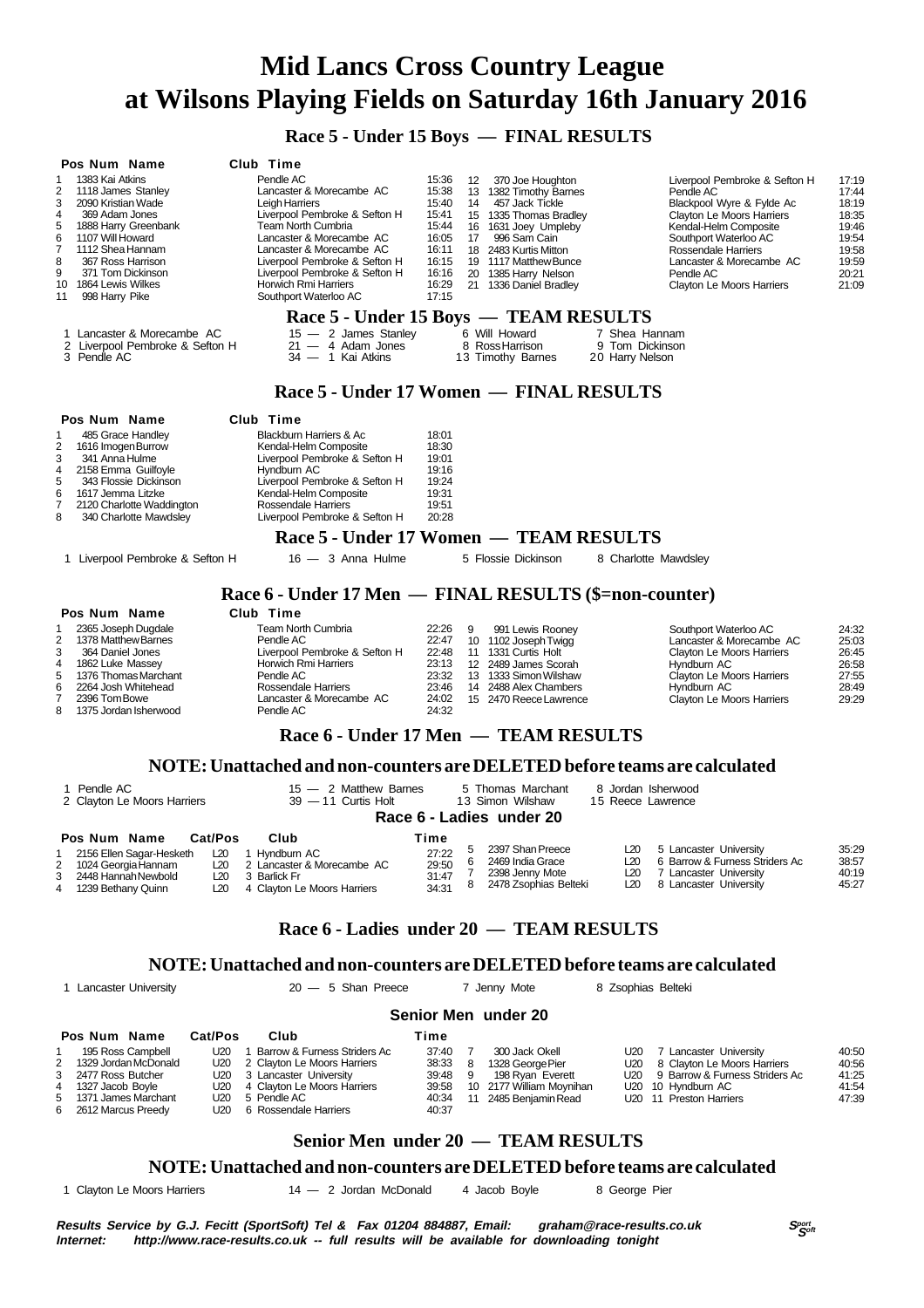**Race 5 - Under 15 Boys — FINAL RESULTS**

| Pos Num Name<br>1383 Kai Atkins<br>1<br>2<br>1118 James Stanley<br>3<br>2090 Kristian Wade<br>4<br>369 Adam Jones<br>5<br>1888 Harry Greenbank<br>1107 Will Howard<br>6<br>7<br>1112 Shea Hannam<br>8<br>367 Ross Harrison<br>9<br>371 Tom Dickinson<br>1864 Lewis Wilkes<br>10<br>998 Harry Pike<br>11<br>1 Lancaster & Morecambe AC | Club Time<br>Pendle AC<br>Lancaster & Morecambe AC<br>Leigh Harriers<br>Liverpool Pembroke & Sefton H<br>Team North Cumbria<br>Lancaster & Morecambe AC<br>Lancaster & Morecambe AC<br>Liverpool Pembroke & Sefton H<br>Liverpool Pembroke & Sefton H<br>Horwich Rmi Harriers<br>Southport Waterloo AC<br>Race 5 - Under 15 Boys — TEAM RESULTS<br>15 - 2 James Stanley | 15:36<br>15:38<br>15:40<br>15:41<br>15:44<br>16:05<br>16:11<br>16:15<br>16:16<br>16:29<br>17:15 | 12<br>14<br>17   | 370 Joe Houghton<br>13 1382 Timothy Barnes<br>457 Jack Tickle<br>15 1335 Thomas Bradley<br>16 1631 Joey Umpleby<br>996 Sam Cain<br>18 2483 Kurtis Mitton<br>19 1117 Matthew Bunce<br>20 1385 Harry Nelson<br>21 1336 Daniel Bradley<br>6 Will Howard | 7 Shea Hannam                           | Liverpool Pembroke & Sefton H<br>Pendle AC<br>Blackpool Wyre & Fylde Ac<br>Clayton Le Moors Harriers<br>Kendal-Helm Composite<br>Southport Waterloo AC<br>Rossendale Harriers<br>Lancaster & Morecambe AC<br>Pendle AC<br>Clayton Le Moors Harriers | 17:19<br>17:44<br>18:19<br>18:35<br>19:46<br>19:54<br>19:58<br>19:59<br>20:21<br>21:09 |
|---------------------------------------------------------------------------------------------------------------------------------------------------------------------------------------------------------------------------------------------------------------------------------------------------------------------------------------|-------------------------------------------------------------------------------------------------------------------------------------------------------------------------------------------------------------------------------------------------------------------------------------------------------------------------------------------------------------------------|-------------------------------------------------------------------------------------------------|------------------|------------------------------------------------------------------------------------------------------------------------------------------------------------------------------------------------------------------------------------------------------|-----------------------------------------|-----------------------------------------------------------------------------------------------------------------------------------------------------------------------------------------------------------------------------------------------------|----------------------------------------------------------------------------------------|
| 2 Liverpool Pembroke & Sefton H<br>3 Pendle AC                                                                                                                                                                                                                                                                                        | $21 - 4$ Adam Jones<br>34 - 1 Kai Atkins                                                                                                                                                                                                                                                                                                                                |                                                                                                 |                  | 8 Ross Harrison<br>13 Timothy Barnes                                                                                                                                                                                                                 | 9 Tom Dickinson<br>20 Harry Nelson      |                                                                                                                                                                                                                                                     |                                                                                        |
|                                                                                                                                                                                                                                                                                                                                       | Race 5 - Under 17 Women — FINAL RESULTS                                                                                                                                                                                                                                                                                                                                 |                                                                                                 |                  |                                                                                                                                                                                                                                                      |                                         |                                                                                                                                                                                                                                                     |                                                                                        |
| Pos Num Name                                                                                                                                                                                                                                                                                                                          | Club Time                                                                                                                                                                                                                                                                                                                                                               |                                                                                                 |                  |                                                                                                                                                                                                                                                      |                                         |                                                                                                                                                                                                                                                     |                                                                                        |
| 485 Grace Handley<br>1<br>1616 Imogen Burrow<br>2<br>3<br>341 Anna Hulme<br>4<br>2158 Emma Guilfoyle<br>5<br>343 Flossie Dickinson<br>6<br>1617 Jemma Litzke<br>7<br>2120 Charlotte Waddington<br>8<br>340 Charlotte Mawdsley                                                                                                         | Blackburn Harriers & Ac<br>Kendal-Helm Composite<br>Liverpool Pembroke & Sefton H<br>Hyndburn AC<br>Liverpool Pembroke & Sefton H<br>Kendal-Helm Composite<br>Rossendale Harriers<br>Liverpool Pembroke & Sefton H                                                                                                                                                      | 18:01<br>18:30<br>19:01<br>19:16<br>19:24<br>19:31<br>19:51<br>20:28                            |                  |                                                                                                                                                                                                                                                      |                                         |                                                                                                                                                                                                                                                     |                                                                                        |
|                                                                                                                                                                                                                                                                                                                                       | Race 5 - Under 17 Women — TEAM RESULTS                                                                                                                                                                                                                                                                                                                                  |                                                                                                 |                  |                                                                                                                                                                                                                                                      |                                         |                                                                                                                                                                                                                                                     |                                                                                        |
| 1 Liverpool Pembroke & Sefton H                                                                                                                                                                                                                                                                                                       | $16 - 3$ Anna Hulme                                                                                                                                                                                                                                                                                                                                                     |                                                                                                 |                  | 5 Flossie Dickinson                                                                                                                                                                                                                                  | 8 Charlotte Mawdsley                    |                                                                                                                                                                                                                                                     |                                                                                        |
|                                                                                                                                                                                                                                                                                                                                       | Race 6 - Under 17 Men — FINAL RESULTS (\$=non-counter)                                                                                                                                                                                                                                                                                                                  |                                                                                                 |                  |                                                                                                                                                                                                                                                      |                                         |                                                                                                                                                                                                                                                     |                                                                                        |
| Pos Num Name                                                                                                                                                                                                                                                                                                                          | Club Time                                                                                                                                                                                                                                                                                                                                                               |                                                                                                 |                  |                                                                                                                                                                                                                                                      |                                         |                                                                                                                                                                                                                                                     |                                                                                        |
| 2365 Joseph Dugdale<br>1<br>1378 Matthew Barnes<br>2<br>3<br>364 Daniel Jones<br>4<br>1862 Luke Massey<br>5<br>1376 Thomas Marchant<br>6<br>2264 Josh Whitehead<br>7<br>2396 Tom Bowe<br>8<br>1375 Jordan Isherwood                                                                                                                   | Team North Cumbria<br>Pendle AC<br>Liverpool Pembroke & Sefton H<br>Horwich Rmi Harriers<br>Pendle AC<br>Rossendale Harriers<br>Lancaster & Morecambe AC<br>Pendle AC                                                                                                                                                                                                   | 22:26<br>22:47<br>22:48<br>23:13<br>23:32<br>23:46<br>24:02<br>24:32                            | 9                | 991 Lewis Rooney<br>10 1102 Joseph Twigg<br>11 1331 Curtis Holt<br>12 2489 James Scorah<br>13 1333 Simon Wilshaw<br>14 2488 Alex Chambers<br>15 2470 Reece Lawrence                                                                                  |                                         | Southport Waterloo AC<br>Lancaster & Morecambe AC<br>Clayton Le Moors Harriers<br>Hyndburn AC<br>Clayton Le Moors Harriers<br>Hyndburn AC<br>Clayton Le Moors Harriers                                                                              | 24:32<br>25:03<br>26:45<br>26:58<br>27:55<br>28:49<br>29:29                            |
|                                                                                                                                                                                                                                                                                                                                       | Race 6 - Under 17 Men — TEAM RESULTS                                                                                                                                                                                                                                                                                                                                    |                                                                                                 |                  |                                                                                                                                                                                                                                                      |                                         |                                                                                                                                                                                                                                                     |                                                                                        |
|                                                                                                                                                                                                                                                                                                                                       |                                                                                                                                                                                                                                                                                                                                                                         |                                                                                                 |                  |                                                                                                                                                                                                                                                      |                                         |                                                                                                                                                                                                                                                     |                                                                                        |
|                                                                                                                                                                                                                                                                                                                                       | NOTE: Unattached and non-counters are DELETED before teams are calculated                                                                                                                                                                                                                                                                                               |                                                                                                 |                  |                                                                                                                                                                                                                                                      |                                         |                                                                                                                                                                                                                                                     |                                                                                        |
| 1 Pendle AC<br>2 Clayton Le Moors Harriers                                                                                                                                                                                                                                                                                            | 15 - 2 Matthew Barnes<br>39 - 11 Curtis Holt                                                                                                                                                                                                                                                                                                                            |                                                                                                 |                  | 5 Thomas Marchant<br>13 Simon Wilshaw<br>Race 6 - Ladies under 20                                                                                                                                                                                    | 8 Jordan Isherwood<br>15 Reece Lawrence |                                                                                                                                                                                                                                                     |                                                                                        |
| Cat/Pos<br>Pos Num Name                                                                                                                                                                                                                                                                                                               | Club                                                                                                                                                                                                                                                                                                                                                                    | Time                                                                                            |                  |                                                                                                                                                                                                                                                      |                                         |                                                                                                                                                                                                                                                     |                                                                                        |
| 2156 Ellen Sagar-Hesketh<br>L20<br>1<br>2<br>1024 Georgia Hannam<br>L20<br>2448 Hannah Newbold<br>3<br>L20<br>4<br>1239 Bethany Quinn<br>L20                                                                                                                                                                                          | 1 Hyndburn AC<br>2 Lancaster & Morecambe AC<br>3 Barlick Fr<br>4 Clayton Le Moors Harriers                                                                                                                                                                                                                                                                              | 27:22<br>29:50<br>31:47<br>34:31                                                                | 5<br>6<br>7<br>8 | 2397 Shan Preece<br>2469 India Grace<br>2398 Jenny Mote<br>2478 Zsophias Belteki                                                                                                                                                                     | L20<br>L20<br>L20<br>L20                | 5 Lancaster University<br>6 Barrow & Furness Striders Ac<br>7 Lancaster University<br>8 Lancaster University                                                                                                                                        | 35:29<br>38:57<br>40:19<br>45:27                                                       |
|                                                                                                                                                                                                                                                                                                                                       | Race 6 - Ladies under 20 - TEAM RESULTS                                                                                                                                                                                                                                                                                                                                 |                                                                                                 |                  |                                                                                                                                                                                                                                                      |                                         |                                                                                                                                                                                                                                                     |                                                                                        |
|                                                                                                                                                                                                                                                                                                                                       | NOTE: Unattached and non-counters are DELETED before teams are calculated                                                                                                                                                                                                                                                                                               |                                                                                                 |                  |                                                                                                                                                                                                                                                      |                                         |                                                                                                                                                                                                                                                     |                                                                                        |
| 1 Lancaster University                                                                                                                                                                                                                                                                                                                | $20 - 5$ Shan Preece                                                                                                                                                                                                                                                                                                                                                    |                                                                                                 |                  | 7 Jenny Mote                                                                                                                                                                                                                                         | 8 Zsophias Belteki                      |                                                                                                                                                                                                                                                     |                                                                                        |
|                                                                                                                                                                                                                                                                                                                                       |                                                                                                                                                                                                                                                                                                                                                                         |                                                                                                 |                  | Senior Men under 20                                                                                                                                                                                                                                  |                                         |                                                                                                                                                                                                                                                     |                                                                                        |
|                                                                                                                                                                                                                                                                                                                                       |                                                                                                                                                                                                                                                                                                                                                                         |                                                                                                 |                  |                                                                                                                                                                                                                                                      |                                         |                                                                                                                                                                                                                                                     |                                                                                        |
| Cat/Pos<br>Pos Num Name<br>195 Ross Campbell<br>U20<br>1                                                                                                                                                                                                                                                                              | Club<br>1 Barrow & Furness Striders Ac                                                                                                                                                                                                                                                                                                                                  | Time<br>37:40                                                                                   | 7                | 300 Jack Okell                                                                                                                                                                                                                                       | U20                                     | 7 Lancaster University                                                                                                                                                                                                                              | 40:50                                                                                  |

|                        |                                 |         |     |                          |                                     | .     |
|------------------------|---------------------------------|---------|-----|--------------------------|-------------------------------------|-------|
| 2 1329 Jordan McDonald | U20 2 Clayton Le Moors Harriers | 38:33   |     | 1328 George Pier         | U20 8 Clayton Le Moors Harriers     | 40:56 |
| 3 2477 Ross Butcher    | U20 3 Lancaster University      | 39:48 9 |     | 198 Rvan Everett         | U20 9 Barrow & Furness Striders Ac  | 41:25 |
| 4 1327 Jacob Boyle     | U20 4 Clayton Le Moors Harriers | 39:58   |     | 10 2177 William Movnihan | U20 10 Hyndburn AC                  | 41:54 |
| 5 1371 James Marchant  | U20 5 Pendle AC                 | 40:34   | -11 | 2485 Beniamin Read       | U <sub>20</sub> 11 Preston Harriers | 47:39 |
| 6 2612 Marcus Preedy   | U20 6 Rossendale Harriers       | 40:37   |     |                          |                                     |       |

### **Senior Men under 20 — TEAM RESULTS**

#### **NOTE: Unattached and non-counters are DELETED before teams are calculated**

1 Clayton Le Moors Harriers 14 — 2 Jordan McDonald 4 Jacob Boyle 8 George Pier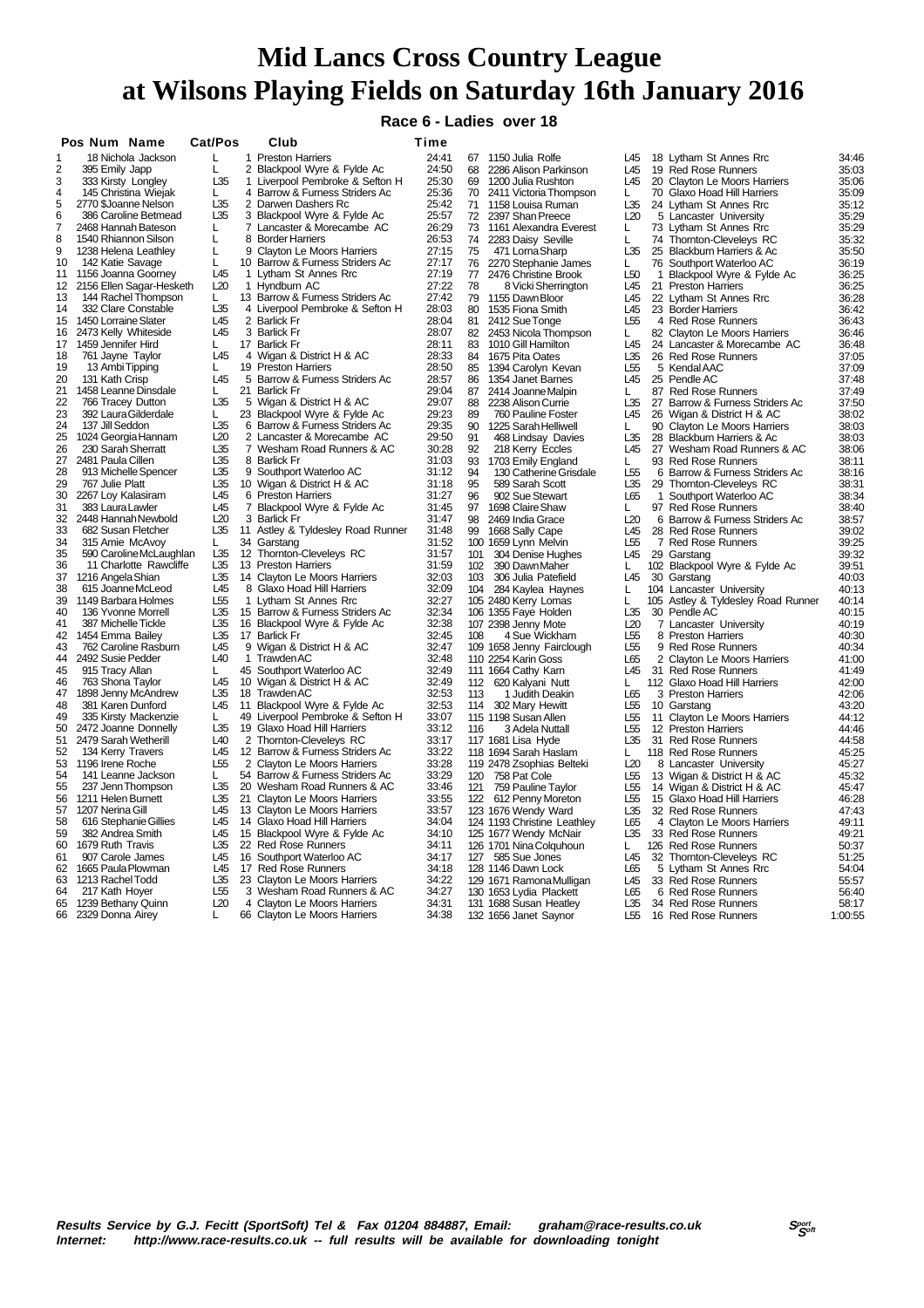**Race 6 - Ladies over 18**

|          | Pos Num Name         |                                              | Cat/Pos         |    | Club                                                            | Time           |          |                                           |                                    |              |                                                        |                |
|----------|----------------------|----------------------------------------------|-----------------|----|-----------------------------------------------------------------|----------------|----------|-------------------------------------------|------------------------------------|--------------|--------------------------------------------------------|----------------|
|          |                      | 18 Nichola Jackson                           | L               |    | 1 Preston Harriers                                              | 24:41          |          | 67 1150 Julia Rolfe                       | L45                                |              | 18 Lytham St Annes Rrc                                 | 34:46          |
| 2        | 395 Emily Japp       |                                              | L               |    | 2 Blackpool Wyre & Fylde Ac                                     | 24:50          | 68       | 2286 Alison Parkinson                     | L45                                |              | 19 Red Rose Runners                                    | 35:03          |
| 3        |                      | 333 Kirsty Longley                           | L35             |    | 1 Liverpool Pembroke & Sefton H                                 | 25:30          | 69       | 1200 Julia Rushton                        | L45                                |              | 20 Clayton Le Moors Harriers                           | 35:06          |
| 4        |                      | 145 Christina Wiejak                         | L.              |    | 4 Barrow & Furness Striders Ac                                  | 25:36          | 70       | 2411 Victoria Thompson                    | L.                                 |              | 70 Glaxo Hoad Hill Harriers                            | 35:09          |
| 5        |                      | 2770 \$Joanne Nelson                         | L35             |    | 2 Darwen Dashers Rc                                             | 25:42          | 71       | 1158 Louisa Ruman                         | L35                                |              | 24 Lytham St Annes Rrc                                 | 35:12          |
| 6        |                      | 386 Caroline Betmead                         | L35             |    | 3 Blackpool Wyre & Fylde Ac                                     | 25:57          | 72       | 2397 Shan Preece                          | L20                                |              | 5 Lancaster University                                 | 35:29          |
| 7        |                      | 2468 Hannah Bateson                          | L               |    | 7 Lancaster & Morecambe AC                                      | 26:29<br>26:53 | 73       | 1161 Alexandra Everest                    | L                                  |              | 73 Lytham St Annes Rrc                                 | 35:29          |
| 8        |                      | 1540 Rhiannon Silson                         | L               | 9  | 8 Border Harriers<br><b>Clayton Le Moors Harriers</b>           | 27:15          | 74<br>75 | 2283 Daisy Seville                        | L<br>L35                           |              | 74 Thomton-Cleveleys RC                                | 35:32<br>35:50 |
| 9<br>10  | 142 Katie Savage     | 1238 Helena Leathley                         | L<br>L          |    | 10 Barrow & Furness Striders Ac                                 | 27:17          | 76       | 471 Lorna Sharp<br>2270 Stephanie James   | L                                  |              | 25 Blackburn Harriers & Ac<br>76 Southport Waterloo AC | 36:19          |
| 11       |                      | 1156 Joanna Goorney                          | L45             |    | 1 Lytham St Annes Rrc                                           | 27:19          | 77       | 2476 Christine Brook                      | L50                                | $\mathbf{1}$ | Blackpool Wyre & Fylde Ac                              | 36:25          |
| 12       |                      | 2156 Ellen Sagar-Hesketh                     | L20             |    | 1 Hyndburn AC                                                   | 27:22          | 78       | 8 Vicki Sherrington                       | L45                                |              | 21 Preston Harriers                                    | 36:25          |
| 13       |                      | 144 Rachel Thompson                          | L.              |    | 13 Barrow & Furness Striders Ac                                 | 27:42          | 79       | 1155 Dawn Bloor                           | L45                                |              | 22 Lytham St Annes Rrc                                 | 36:28          |
| 14       |                      | 332 Clare Constable                          | L35             |    | 4 Liverpool Pembroke & Sefton H                                 | 28:03          | 80       | 1535 Fiona Smith                          | L45                                |              | 23 Border Harriers                                     | 36:42          |
| 15       | 1450 Lorraine Slater |                                              | L45             |    | 2 Barlick Fr                                                    | 28:04          | 81       | 2412 Sue Tonge                            | L <sub>55</sub>                    |              | 4 Red Rose Runners                                     | 36:43          |
| 16       |                      | 2473 Kelly Whiteside                         | L45             |    | 3 Barlick Fr                                                    | 28:07          | 82       | 2453 Nicola Thompson                      | L                                  |              | 82 Clayton Le Moors Harriers                           | 36:46          |
| 17       | 1459 Jennifer Hird   |                                              | $\mathbf{L}$    |    | 17 Barlick Fr                                                   | 28:11          | 83       | 1010 Gill Hamilton                        | L45                                |              | 24 Lancaster & Morecambe AC                            | 36:48          |
| 18       | 761 Jayne Taylor     |                                              | L45             |    | 4 Wigan & District H & AC                                       | 28:33          | 84       | 1675 Pita Oates                           | L35                                |              | 26 Red Rose Runners                                    | 37:05          |
| 19       | 13 Ambi Tipping      |                                              | L               |    | 19 Preston Harriers                                             | 28:50          | 85       | 1394 Carolyn Kevan                        | L <sub>55</sub>                    |              | 5 Kendal AAC                                           | 37:09          |
| 20       | 131 Kath Crisp       |                                              | L45             |    | 5 Barrow & Furness Striders Ac                                  | 28:57          | 86       | 1354 Janet Barnes                         | L45                                |              | 25 Pendle AC                                           | 37:48          |
| 21       |                      | 1458 Leanne Dinsdale                         | I.              |    | 21 Barlick Fr                                                   | 29:04          | 87       | 2414 Joanne Malpin                        | Ι.                                 |              | 87 Red Rose Runners                                    | 37:49          |
| 22       |                      | 766 Tracey Dutton                            | L35             | 5  | Wigan & District H & AC                                         | 29:07          | 88       | 2238 Alison Currie                        | L35                                | 27           | Barrow & Furness Striders Ac                           | 37:50          |
| 23       |                      | 392 Laura Gilderdale                         | L               |    | 23 Blackpool Wyre & Fylde Ac                                    | 29:23          | 89       | 760 Pauline Foster                        | L45                                |              | 26 Wigan & District H & AC                             | 38:02          |
| 24       | 137 Jill Seddon      |                                              | L35             |    | 6 Barrow & Furness Striders Ac                                  | 29:35          | 90       | 1225 Sarah Helliwell                      | L                                  |              | 90 Clayton Le Moors Harriers                           | 38:03          |
| 25       |                      | 1024 Georgia Hannam                          | L20             |    | 2 Lancaster & Morecambe AC                                      | 29:50          | 91       | 468 Lindsay Davies                        | L35                                |              | 28 Blackburn Harriers & Ac                             | 38:03          |
| 26       |                      | 230 Sarah Sherratt                           | L35             |    | 7 Wesham Road Runners & AC                                      | 30:28          | 92       | 218 Kerry Eccles                          | L45                                | 27           | Wesham Road Runners & AC                               | 38:06          |
| 27<br>28 | 2481 Paula Cillen    |                                              | L35<br>L35      |    | 8 Barlick Fr                                                    | 31:03<br>31:12 | 93       | 1703 Emily England                        | L                                  |              | 93 Red Rose Runners                                    | 38:11          |
| 29       | 767 Julie Platt      | 913 Michelle Spencer                         | L35             |    | 9 Southport Waterloo AC<br>10 Wigan & District H & AC           | 31:18          | 94<br>95 | 130 Catherine Grisdale<br>589 Sarah Scott | L <sub>55</sub><br>L35             | 6            | Barrow & Furness Striders Ac                           | 38:16<br>38:31 |
| 30       | 2267 Loy Kalasiram   |                                              | L45             |    | 6 Preston Harriers                                              | 31:27          | 96       | 902 Sue Stewart                           | L65                                | $\mathbf{1}$ | 29 Thornton-Cleveleys RC<br>Southport Waterloo AC      | 38:34          |
| 31       | 383 Laura Lawler     |                                              | L45             |    | 7 Blackpool Wyre & Fylde Ac                                     | 31:45          | 97       | 1698 Claire Shaw                          | L                                  |              | 97 Red Rose Runners                                    | 38:40          |
| 32       |                      | 2448 Hannah Newbold                          | L20             |    | 3 Barlick Fr                                                    | 31:47          | 98       | 2469 India Grace                          | L20                                |              | 6 Barrow & Furness Striders Ac                         | 38:57          |
| 33       |                      | 682 Susan Fletcher                           | L35             |    | 11 Astley & Tyldesley Road Runner                               | 31:48          | 99       | 1668 Sally Cape                           | L45                                |              | 28 Red Rose Runners                                    | 39:02          |
| 34       |                      | 315 Amie McAvoy                              | L.              |    | 34 Garstang                                                     | 31:52          |          | 100 1659 Lynn Melvin                      | L <sub>55</sub>                    |              | 7 Red Rose Runners                                     | 39:25          |
| 35       |                      | 590 Caroline McLaughlan                      | L35             |    | 12 Thornton-Cleveleys RC                                        | 31:57          | 101      | 304 Denise Hughes                         | L45                                |              | 29 Garstang                                            | 39:32          |
| 36       |                      | 11 Charlotte Rawcliffe                       | L35             |    | 13 Preston Harriers                                             | 31:59          | 102      | 390 Dawn Maher                            | L                                  |              | 102 Blackpool Wyre & Fylde Ac                          | 39:51          |
| 37       | 1216 Angela Shian    |                                              | L35             |    | 14 Clayton Le Moors Harriers                                    | 32:03          | 103      | 306 Julia Patefield                       | L45                                | 30           | Garstang                                               | 40:03          |
| 38       |                      | 615 Joanne McLeod                            | L45             |    | 8 Glaxo Hoad Hill Harriers                                      | 32:09          |          | 104 284 Kaylea Haynes                     | L                                  |              | 104 Lancaster University                               | 40:13          |
| 39       |                      | 1149 Barbara Holmes                          | L55             |    | 1 Lytham St Annes Rrc                                           | 32:27          |          | 105 2480 Kerry Lomas                      | L                                  |              | 105 Astley & Tyldesley Road Runner                     | 40:14          |
| 40       |                      | 136 Yvonne Morrell                           | L35             |    | 15 Barrow & Furness Striders Ac                                 | 32:34          |          | 106 1355 Faye Holden                      | L35                                |              | 30 Pendle AC                                           | 40:15          |
| 41       |                      | 387 Michelle Tickle                          | L35             |    | 16 Blackpool Wyre & Fylde Ac                                    | 32:38          |          | 107 2398 Jenny Mote                       | L20                                |              | 7 Lancaster University                                 | 40:19          |
| 42       | 1454 Emma Bailey     |                                              | L35             |    | 17 Barlick Fr                                                   | 32:45          | 108      | 4 Sue Wickham                             | L <sub>55</sub>                    |              | 8 Preston Harriers                                     | 40:30          |
| 43       |                      | 762 Caroline Rasburn                         | L45             |    | 9 Wigan & District H & AC                                       | 32:47          |          | 109 1658 Jenny Fairclough                 | L <sub>55</sub>                    |              | 9 Red Rose Runners                                     | 40:34          |
| 44       | 2492 Susie Pedder    |                                              | L40             |    | 1 Trawden AC                                                    | 32:48          |          | 110 2254 Karin Goss                       | L65                                |              | 2 Clayton Le Moors Harriers                            | 41:00          |
| 45       | 915 Tracy Allan      |                                              | L.              | 45 | Southport Waterloo AC                                           | 32:49          |          | 111 1664 Cathy Karn                       | L45                                |              | 31 Red Rose Runners                                    | 41:49          |
| 46       | 763 Shona Taylor     |                                              | L45             |    | 10 Wigan & District H & AC                                      | 32:49          | 112      | 620 Kalyani Nutt                          | L.                                 |              | 112 Glaxo Hoad Hill Harriers                           | 42:00          |
| 47       |                      | 1898 Jenny McAndrew                          | L35             |    | 18 TrawdenAC                                                    | 32:53          | 113      | 1 Judith Deakin                           | L65                                |              | 3 Preston Harriers                                     | 42:06          |
| 48<br>49 |                      | 381 Karen Dunford                            | L45             | 11 | Blackpool Wyre & Fylde Ac                                       | 32:53          | 114      | 302 Mary Hewitt                           | L55                                |              | 10 Garstang                                            | 43:20          |
| 50       |                      | 335 Kirsty Mackenzie<br>2472 Joanne Donnelly | L.<br>L35       |    | 49 Liverpool Pembroke & Sefton H<br>19 Glaxo Hoad Hill Harriers | 33:07<br>33:12 | 116      | 115 1198 Susan Allen                      | L <sub>55</sub><br>L <sub>55</sub> | 11           | Clayton Le Moors Harriers                              | 44:12<br>44:46 |
| 51       |                      | 2479 Sarah Wetherill                         | L <sub>40</sub> |    | 2 Thornton-Cleveleys RC                                         | 33:17          |          | 3 Adela Nuttall<br>117 1681 Lisa Hyde     | L35                                |              | 12 Preston Harriers<br>31 Red Rose Runners             | 44:58          |
| 52       |                      | 134 Kerry Travers                            | L45             |    | 12 Barrow & Furness Striders Ac                                 | 33:22          |          | 118 1694 Sarah Haslam                     | L.                                 |              | 118 Red Rose Runners                                   | 45:25          |
| 53       | 1196 Irene Roche     |                                              | L <sub>55</sub> |    | 2 Clayton Le Moors Harriers                                     | 33:28          |          | 119 2478 Zsophias Belteki                 | L20                                |              | 8 Lancaster University                                 | 45:27          |
| 54       |                      | 141 Leanne Jackson                           | I.              |    | 54 Barrow & Furness Striders Ac                                 | 33:29          |          | 120 758 Pat Cole                          | L55                                |              | 13 Wigan & District H & AC                             | 45:32          |
| 55       |                      | 237 Jenn Thompson                            | L35             |    | 20 Wesham Road Runners & AC                                     | 33:46          | 121      | 759 Pauline Taylor                        | L <sub>55</sub>                    |              | 14 Wigan & District H & AC                             | 45:47          |
| 56       | 1211 Helen Burnett   |                                              | L35             |    | 21 Clayton Le Moors Harriers                                    | 33:55          |          | 122 612 Penny Moreton                     | L55                                |              | 15 Glaxo Hoad Hill Harriers                            | 46:28          |
| 57       | 1207 Nerina Gill     |                                              | L45             |    | 13 Clayton Le Moors Harriers                                    | 33:57          |          | 123 1676 Wendy Ward                       | L35                                |              | 32 Red Rose Runners                                    | 47:43          |
| 58       |                      | 616 Stephanie Gillies                        | L45             |    | 14 Glaxo Hoad Hill Harriers                                     | 34:04          |          | 124 1193 Christine Leathley               | L65                                |              | 4 Clayton Le Moors Harriers                            | 49:11          |
| 59       | 382 Andrea Smith     |                                              | L45             |    | 15 Blackpool Wyre & Fylde Ac                                    | 34:10          |          | 125 1677 Wendy McNair                     | L35                                |              | 33 Red Rose Runners                                    | 49:21          |
| 60       | 1679 Ruth Travis     |                                              | L35             |    | 22 Red Rose Runners                                             | 34:11          |          | 126 1701 Nina Colquhoun                   | L.                                 |              | 126 Red Rose Runners                                   | 50:37          |
| 61       |                      | 907 Carole James                             | L45             |    | 16 Southport Waterloo AC                                        | 34:17          |          | 127 585 Sue Jones                         | L45                                |              | 32 Thornton-Cleveleys RC                               | 51:25          |
| 62       |                      | 1665 Paula Plowman                           | L45             |    | 17 Red Rose Runners                                             | 34:18          |          | 128 1146 Dawn Lock                        | L65                                |              | 5 Lytham St Annes Rrc                                  | 54:04          |
| 63       | 1213 Rachel Todd     |                                              | L35             |    | 23 Clayton Le Moors Harriers                                    | 34:22          |          | 129 1671 Ramona Mulligan                  | L45                                |              | 33 Red Rose Runners                                    | 55:57          |
| 64       | 217 Kath Hoyer       |                                              | L <sub>55</sub> |    | 3 Wesham Road Runners & AC                                      | 34:27          |          | 130 1653 Lydia Plackett                   | L65                                |              | 6 Red Rose Runners                                     | 56:40          |
| 65       | 1239 Bethany Quinn   |                                              | L20             |    | 4 Clayton Le Moors Harriers                                     | 34:31          |          | 131 1688 Susan Heatley                    | L35                                |              | 34 Red Rose Runners                                    | 58:17          |
| 66       | 2329 Donna Airey     |                                              | L               |    | 66 Clayton Le Moors Harriers                                    | 34:38          |          | 132 1656 Janet Saynor                     | L <sub>55</sub>                    |              | 16 Red Rose Runners                                    | 1:00:55        |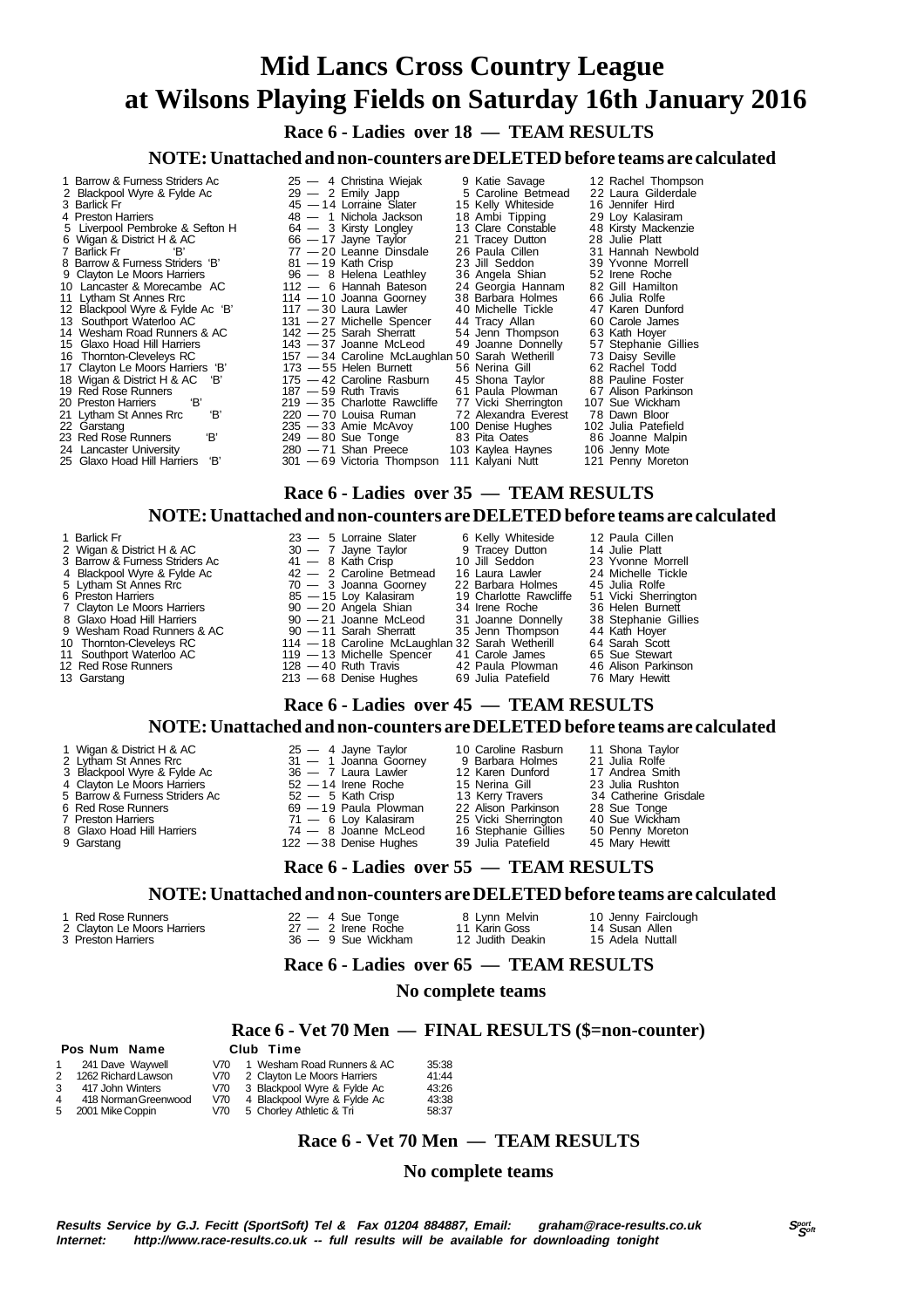**Race 6 - Ladies over 18 — TEAM RESULTS**

**NOTE: Unattached and non-counters are DELETED before teams are calculated**

- 1 Barrow & Furness Striders Ac 25 4 Christina Wiejak 9 Katie Savage 12 Rachel Thompson
- 
- 
- 
- 
- 
- 
- 
- 
- 
- 
- 
- 
- 
- 
- 
- 
- 
- 
- 
- 
- 
- 2 Blackpool Wyre & Fylde Ac 29 2 Emily Japp 5 Caroline Betmead 22 Laura Gilderdale<br>3 Barlick Fr 29 2 Emily Japp 5 Caroline Betmead 22 Laura Gilderdale<br>3 Barlick Fr 20 2 Holland Backson 28 19 Michola Jackson 29 Loy 3 Barlick Fr 45 — 14 Lorraine Slater 15 Kelly Whiteside 16 Jennifer Hird 4 Preston Harriers 48 — 1 Nichola Jackson 18 Ambi Tipping 29 Loy Kalasiram 5 Liverpool Pembroke & Sefton H 64 — 3 Kirsty Longley 13 Clare Constable 48 Kirsty Mackenzie 6 Wigan & District H & AC 66 — 17 Jayne Taylor 21 Tracey Dutton 28 Julie Platt 7 Barlick Fr 'B' 77 — 20 Leanne Dinsdale 26 Paula Cillen 31 Hannah Newbold 8 Barrow & Furness Striders 'B' 81 — 19 Kath Crisp 23 Jill Seddon 39 Yvonne Morrell 9 Clayton Le Moors Harriers 19 — 9 Clayton Le Moors Harriers 19 — 8 Helena Leathley 36 Angela Shian 52 Irene Roche<br>10 Lancaster & Morecambe AC 112 — 6 Hannah Bateson 24 Georgia Hannam 82 Gill Hamilton<br>11 Lytham St Annes Rr 10 Lancaster & Morecambe AC 112 — 6 Hannah Bateson 24 Georgia Hannam 82 Gill Hamilton 11 Lytham St Annes Rrc 114 — 10 Joanna Goorney 38 Barbara Holmes 66 Julia Rolfe 11 Exploration of the Extra Figure 117 — 117 — 10 Journal Governey Society of Science Consumer AD Michelle Tickle 47 Karen Dunford<br>12 Blackpool Wyre & Fylde Ac 'B' 117 — 30 Laura Lawler 40 Michelle Tickle 47 Karen Dunford<br> 13 Southport Waterloo AC 131 — 27 Michelle Spencer 44 Tracy Allan 60 Carole James 14 Wesham Road Runners & AC 142 — 25 Sarah Sherratt 54 Jenn Thompson 63 Kath Hoyer 15 Glaxo Hoad Hill Harriers 143 — 37 Joanne McLeod 19 Joanne Donnelly 57 Stephanie Gillies<br>16 Thomton-Cleveleys RC 157 — 34 Caroline McLaughlan 50 Sarah Wetherill 73 Daisy Seville<br>17 Clayton Le Moors Harriers 18' 173 — 55 16 Thornton-Cleveleys RC 157 — 34 Caroline McLaughlan 50 Sarah Wetherill<br>17 Clavton Le Moors Harriers 18' 173 — 55 Helen Burnett 56 Nerina Gill 17 Clayton Le Moors Harriers 'B' 173 — 55 Helen Burnett 56 Nerina Gill 62 Rachel Todd<br>18 Wigan & District H & AC 'B' 175 — 42 Caroline Rasburn 45 Shona Taylor 88 Pauline Fostel 18 Wigan & District H & AC 'B' 175 — 42 Caroline Rasburn 45 Shona Taylor 88 Pauline Foster 19 Red Rose Runners 187 — 59 Ruth Travis 61 Paula Plowman 67 Alison Parkinson 20 Preston Harriers 'B' 219 — 35 Charlotte Rawcliffe 77 Vicki Sherrington 107 Sue Wickham 21 Lytham St Annes Rrc 'B' 220 — 70 Louisa Ruman 72 Alexandra Everest 78 Dawn Bloor
- 22 Garstang 235 33 Amie McAvoy 100 Denise Hughes 102 Julia Patefield 23 Red Rose Runners 'B' 249 80 Sue Tonge 83 Pita Oates 86 Joanne Malpin 24 Lancaster University 280 — 71 Shan Preece 103 Kaylea Haynes 106 Jenny Mote 25 Glaxo Hoad Hill Harriers 'B' 301 — 69 Victoria Thompson 111 Kalyani Nutt 121 Penny Moreton
	-

#### **Race 6 - Ladies over 35 — TEAM RESULTS**

#### **NOTE: Unattached and non-counters are DELETED before teams are calculated**

1 Barlick Fr 12 Paula Cillen<br>2 Wigan & District H & AC 3 1 - 7 Jayne Taylor 3 0 - 7 Jayne 12 Paula Cillen<br>3 Barrow & Furness Striders Ac 3 41 - 8 Kath Crisp 1 - 10 Jill Seddon 3 23 Yvonne Morrell<br>4 Blackpool Wyre & Fylde A 5 Lytham St Annes Rrc 70 — 3 Joanna Goorney 22 Barbara Holmes 45 Julia Rolfe 6 Preston Harriers 85 — 15 Loy Kalasiram 19 Charlotte Rawcliffe 51 Vicki Sherrington 7 Clayton Le Moors Harriers 90 — 20 Angela Shian 34 Irene Roche 36 Helen Burnett 7 Clayton Le Moors Harriers 90 — 20 Angela Shian 34 Irene Roche 8 Glaxo Hoad Hill Harriers 90 — 21 Joanne McLeod 31 9 Wesham Road Runners & AC 90 — 11 Sarah Sherratt 35 Jenn Thompson 44 Kath Hoyer<br>10 Thomton-Clevelevs RC 114 — 18 Caroline McLaughlan 32 Sarah Wetherill 64 Sarah Scott 114 — 18 Caroline McLaughlan 32 Sarah Wetherill 64 Sarah Scott Southport Waterloo AC 119 — 13 Michelle Spencer 41 Carole James 65 Sue Stewart 11 Southport Waterloo AC 119 — 13 Michelle Spencer 41 Carole James 65 Sue Stewart<br>12 Red Rose Runners 128 — 40 Ruth Travis 42 Paula Plowman 46 Alison Parkinson 12 Red Rose Runners 128 — 40 Ruth Travis 42 Paula Plowman 46 Alison Parkinson 13 Garstang 213 — 68 Denise Hughes 69 Julia Patefield 76 Mary Hewitt

#### **Race 6 - Ladies over 45 — TEAM RESULTS**

#### **NOTE: Unattached and non-counters are DELETED before teams are calculated**

- 
- 1 Wigan & District H & AC 25 4 Jayne Taylor 10 Caroline Rasburn 11 Shona Taylor<br>1 Lytham St Annes Rrc 31 1 Joanna Goomey 9 Barbara Holmes 21 Julia Rolfe<br>3 Blackpool Wyre & Fylde Ac 36 7 Laura Lawler 12 Karen Dunford 2 Lytham St Annes Rrc 31 — 1 Joanna Goorney 9 Barbara Holmes 21 Julia Rolfe 3 Blackpool Wyre & Fylde Ac 36 — 7 Laura Lawler 12 Karen Dunford 17 Andrea Smith
- 
- 4 Clayton Le Moors Harriers 52 14 Irene Roche 15 Nerina Gill 23 Julia Rushton<br>5 Barrow & Furness Striders Ac 52 5 Kath Crisp 13 Kerry Travers 34 Catherine Grisdale<br>6 Red Rose Runners 69 19 Paula Plowman 22 Alison Par
- 5 Barrow & Furness Striders Ac 52 5 Kath Crisp 13 Kerry Travers 34 Catherine Grisdale 6 Red Rose Runners 69 19 Paula Plowman 22 Alison Parkinson 28 Sue Tonge
- 
- 
- 

- 
- 
- 
- 
- 
- -
- 7 Preston Harriers 71 6 Loy Kalasiram 25 Vicki Sherrington 40 Sue Wickham 8 Glaxo Hoad Hill Harriers 74 8 Joanne McLeod 16 Stephanie Gillies 50 Penny Moreton 9 Garstang 122 - 38 Denise Hughes 39 Julia Patefield 45 Mary Hewitt 9 Garstang 122 - 38 Denise Hughes 39 Julia Patefield 45 Mary Hewitt
	-

### **Race 6 - Ladies over 55 — TEAM RESULTS**

#### **NOTE: Unattached and non-counters are DELETED before teams are calculated**

 **Pos Num Name** 

- 3 Preston Harriers 36 9 Sue Wickham 12 Judith Deakin 15 Adela Nuttall
- 2 Clayton Le Moors Harriers 27 2 Irene Roche 11 Karin Goss 14 Susan Allen<br>3 Preston Harriers 36 9 Sue Wickham 12 Judith Deakin 15 Adela Nuttall
	-
- 
- **Race 6 Ladies over 65 TEAM RESULTS**

#### **No complete teams**

# **Race 6 - Vet 70 Men — FINAL RESULTS (\$=non-counter)**

|   | 241 Dave Wavwell     | V70  | 1 Wesham Road Runners & AC  | 35:38 |
|---|----------------------|------|-----------------------------|-------|
|   | 1262 Richard Lawson  | V70  | 2 Clayton Le Moors Harriers | 41:44 |
| 3 | 417 John Winters     | V70  | 3 Blackpool Wyre & Fylde Ac | 43:26 |
| 4 | 418 Norman Greenwood | V70  | 4 Blackpool Wyre & Fylde Ac | 43:38 |
| 5 | 2001 Mike Coppin     | V70. | 5 Chorley Athletic & Tri    | 58:37 |

#### **Race 6 - Vet 70 Men — TEAM RESULTS**

#### **No complete teams**

- 1 Red Rose Runners **22 4 Sue Tonge** 8 Lynn Melvin 10 Jenny Fairclough
	-
	- -
	-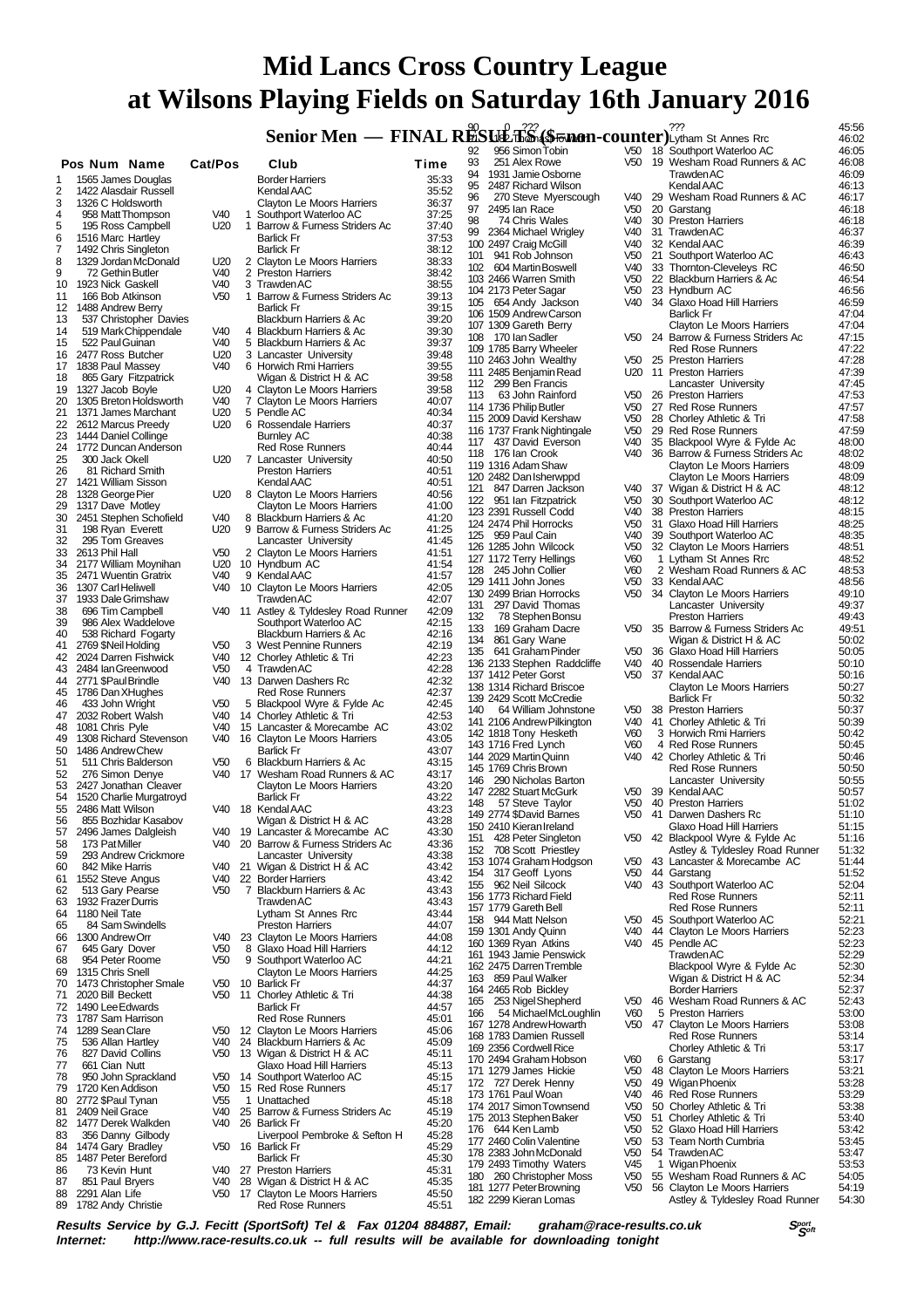**Senior Men — FINAL RESULTS (\$500 PM)** Counter  $\sum_{\text{Lythan St Annes Ric}}^{27.2}$  45:56

|                |                                                  |                                    |   |                                                            |                | 92       | 956 Simon Tobin                                      | V50                                | 18 Southport Waterloo AC                                           | 46:05          |
|----------------|--------------------------------------------------|------------------------------------|---|------------------------------------------------------------|----------------|----------|------------------------------------------------------|------------------------------------|--------------------------------------------------------------------|----------------|
|                | Pos Num Name                                     | Cat/Pos                            |   | Club                                                       | Time           | 93<br>94 | 251 Alex Rowe<br>1931 Jamie Osborne                  | V50                                | 19 Wesham Road Runners & AC<br><b>Trawden AC</b>                   | 46:08<br>46:09 |
| 1              | 1565 James Douglas                               |                                    |   | <b>Border Harriers</b>                                     | 35:33          | 95       | 2487 Richard Wilson                                  |                                    | Kendal AAC                                                         | 46:13          |
| 2<br>3         | 1422 Alasdair Russell<br>1326 C Holdsworth       |                                    |   | Kendal AAC                                                 | 35:52          | 96       | 270 Steve Myerscough                                 | V40                                | 29 Wesham Road Runners & AC                                        | 46:17          |
| 4              | 958 Matt Thompson                                | V40                                | 1 | Clayton Le Moors Harriers<br>Southport Waterloo AC         | 36:37<br>37:25 | 97       | 2495 Ian Race                                        | V <sub>50</sub>                    | 20 Garstang                                                        | 46:18          |
| 5              | 195 Ross Campbell                                | U <sub>20</sub>                    |   | 1 Barrow & Furness Striders Ac                             | 37:40          | 98       | 74 Chris Wales                                       | V40                                | 30 Preston Harriers                                                | 46:18          |
| 6              | 1516 Marc Hartley                                |                                    |   | <b>Barlick Fr</b>                                          | 37:53          | 99       | 2364 Michael Wrigley                                 | V40                                | 31 TrawdenAC                                                       | 46:37          |
| $\overline{7}$ | 1492 Chris Singleton                             |                                    |   | <b>Barlick Fr</b>                                          | 38:12          |          | 100 2497 Craig McGill<br>101 941 Rob Johnson         | V40<br>V <sub>50</sub>             | 32 Kendal AAC<br>21 Southport Waterloo AC                          | 46:39<br>46:43 |
| 8              | 1329 Jordan McDonald                             | U20                                |   | 2 Clayton Le Moors Harriers                                | 38:33          |          | 102 604 Martin Boswell                               | V40                                | 33 Thornton-Cleveleys RC                                           | 46:50          |
| 9              | 72 Gethin Butler                                 | V40<br>V40                         |   | 2 Preston Harriers<br>3 Trawden AC                         | 38:42          |          | 103 2466 Warren Smith                                | V <sub>50</sub>                    | 22 Blackburn Harriers & Ac                                         | 46:54          |
| 10<br>11       | 1923 Nick Gaskell<br>166 Bob Atkinson            | V <sub>50</sub>                    |   | 1 Barrow & Furness Striders Ac                             | 38:55<br>39:13 |          | 104 2173 Peter Sagar                                 | V <sub>50</sub>                    | 23 Hyndburn AC                                                     | 46:56          |
| 12             | 1488 Andrew Berry                                |                                    |   | <b>Barlick Fr</b>                                          | 39:15          |          | 105 654 Andy Jackson                                 | V40                                | 34 Glaxo Hoad Hill Harriers                                        | 46:59          |
| 13             | 537 Christopher Davies                           |                                    |   | Blackburn Harriers & Ac                                    | 39:20          |          | 106 1509 Andrew Carson                               |                                    | <b>Barlick Fr</b>                                                  | 47:04          |
| 14             | 519 Mark Chippendale                             | V40                                |   | 4 Blackburn Harriers & Ac                                  | 39:30          |          | 107 1309 Gareth Berry                                |                                    | <b>Clayton Le Moors Harriers</b>                                   | 47:04          |
| 15             | 522 Paul Guinan                                  | V40                                |   | 5 Blackburn Harriers & Ac                                  | 39:37          |          | 108 170 lan Sadler<br>109 1785 Barry Wheeler         |                                    | V50 24 Barrow & Furness Striders Ac<br><b>Red Rose Runners</b>     | 47:15<br>47:22 |
| 16             | 2477 Ross Butcher                                | U20                                |   | 3 Lancaster University                                     | 39:48          |          | 110 2463 John Wealthy                                | V50                                | 25 Preston Harriers                                                | 47:28          |
| 17             | 1838 Paul Massey                                 | V40                                |   | 6 Horwich Rmi Harriers                                     | 39:55          |          | 111 2485 Benjamin Read                               |                                    | U20 11 Preston Harriers                                            | 47:39          |
| 18<br>19       | 865 Gary Fitzpatrick<br>1327 Jacob Boyle         | U <sub>20</sub>                    |   | Wigan & District H & AC<br>4 Clayton Le Moors Harriers     | 39:58<br>39:58 |          | 112 299 Ben Francis                                  |                                    | Lancaster University                                               | 47:45          |
| 20             | 1305 Breton Holdsworth                           | V <sub>40</sub>                    |   | 7 Clayton Le Moors Harriers                                | 40:07          | 113      | 63 John Rainford                                     | V <sub>50</sub>                    | 26 Preston Harriers                                                | 47:53          |
| 21             | 1371 James Marchant                              | U20                                |   | 5 Pendle AC                                                | 40:34          |          | 114 1736 Philip Butler                               | V <sub>50</sub>                    | 27 Red Rose Runners                                                | 47:57          |
| 22             | 2612 Marcus Preedy                               | U20                                |   | 6 Rossendale Harriers                                      | 40:37          |          | 115 2009 David Kershaw                               | V50                                | 28 Chorley Athletic & Tri                                          | 47:58          |
| 23             | 1444 Daniel Collinge                             |                                    |   | <b>Burnley AC</b>                                          | 40:38          |          | 116 1737 Frank Nightingale<br>117 437 David Everson  | V <sub>50</sub><br>V40             | 29 Red Rose Runners<br>35 Blackpool Wyre & Fylde Ac                | 47:59<br>48:00 |
| 24             | 1772 Duncan Anderson                             |                                    |   | <b>Red Rose Runners</b>                                    | 40:44          |          | 118 176 lan Crook                                    | V40                                | 36 Barrow & Furness Striders Ac                                    | 48:02          |
| 25             | 300 Jack Okell                                   | U <sub>20</sub>                    |   | 7 Lancaster University                                     | 40:50          |          | 119 1316 Adam Shaw                                   |                                    | Clayton Le Moors Harriers                                          | 48:09          |
| 26             | 81 Richard Smith                                 |                                    |   | <b>Preston Harriers</b>                                    | 40:51          |          | 120 2482 Dan Isherwppd                               |                                    | <b>Clayton Le Moors Harriers</b>                                   | 48:09          |
| 27<br>28       | 1421 William Sisson<br>1328 George Pier          | U20                                |   | Kendal AAC                                                 | 40:51<br>40:56 | 121      | 847 Darren Jackson                                   | V40                                | 37 Wigan & District H & AC                                         | 48:12          |
| 29             | 1317 Dave Motley                                 |                                    |   | 8 Clayton Le Moors Harriers<br>Clayton Le Moors Harriers   | 41:00          |          | 122 951 Ian Fitzpatrick                              | V <sub>50</sub>                    | 30 Southport Waterloo AC                                           | 48:12          |
| 30             | 2451 Stephen Schofield                           | V40                                |   | 8 Blackburn Harriers & Ac                                  | 41:20          |          | 123 2391 Russell Codd                                | V40                                | 38 Preston Harriers                                                | 48:15          |
| 31             | 198 Ryan Everett                                 | U20                                |   | 9 Barrow & Furness Striders Ac                             | 41:25          |          | 124 2474 Phil Horrocks                               | V <sub>50</sub>                    | 31 Glaxo Hoad Hill Harriers                                        | 48:25          |
| 32             | 295 Tom Greaves                                  |                                    |   | Lancaster University                                       | 41:45          |          | 125 959 Paul Cain                                    | V40                                | 39 Southport Waterloo AC                                           | 48:35          |
| 33             | 2613 Phil Hall                                   | V <sub>50</sub>                    |   | 2 Clayton Le Moors Harriers                                | 41:51          |          | 126 1285 John Wilcock<br>127 1172 Terry Hellings     | V50<br>V60                         | 32 Clayton Le Moors Harriers<br>1 Lytham St Annes Rrc              | 48:51<br>48:52 |
| 34             | 2177 William Moynihan                            | U20                                |   | 10 Hyndburn AC                                             | 41:54          |          | 128 245 John Collier                                 | V60                                | 2 Wesham Road Runners & AC                                         | 48:53          |
| 35             | 2471 Wuentin Gratrix                             | V40                                |   | 9 Kendal AAC                                               | 41:57          |          | 129 1411 John Jones                                  | V50                                | 33 Kendal AAC                                                      | 48:56          |
| 36<br>37       | 1307 Carl Heliwell                               | V40                                |   | 10 Clayton Le Moors Harriers<br>TrawdenAC                  | 42:05<br>42:07 |          | 130 2499 Brian Horrocks                              | V50                                | 34 Clayton Le Moors Harriers                                       | 49:10          |
| 38             | 1933 Dale Grimshaw<br>696 Tim Campbell           | V40 11                             |   | Astley & Tyldesley Road Runner                             | 42:09          | 131      | 297 David Thomas                                     |                                    | Lancaster University                                               | 49:37          |
| 39             | 986 Alex Waddelove                               |                                    |   | Southport Waterloo AC                                      | 42:15          | 132      | 78 Stephen Bonsu                                     |                                    | <b>Preston Harriers</b>                                            | 49:43          |
| 40             | 538 Richard Fogarty                              |                                    |   | Blackburn Harriers & Ac                                    | 42:16          | 133      | 169 Graham Dacre                                     | V50                                | 35 Barrow & Furness Striders Ac                                    | 49:51          |
| 41             | 2769 \$Neil Holding                              | V <sub>50</sub>                    |   | 3 West Pennine Runners                                     | 42:19          | 134      | 861 Gary Wane                                        |                                    | Wigan & District H & AC                                            | 50:02          |
| 42             | 2024 Darren Fishwick                             | V40                                |   | 12 Chorley Athletic & Tri                                  | 42:23          |          | 135 641 Graham Pinder<br>136 2133 Stephen Raddcliffe | V <sub>50</sub><br>V40             | 36 Glaxo Hoad Hill Harriers<br>40 Rossendale Harriers              | 50:05<br>50:10 |
| 43             | 2484 IanGreenwood                                | V <sub>50</sub>                    |   | 4 Trawden AC                                               | 42:28          |          | 137 1412 Peter Gorst                                 | V50                                | 37 Kendal AAC                                                      | 50:16          |
| 44             | 2771 \$Paul Brindle                              | V40                                |   | 13 Darwen Dashers Rc                                       | 42:32          |          | 138 1314 Richard Briscoe                             |                                    | Clayton Le Moors Harriers                                          | 50:27          |
| 45<br>46       | 1786 Dan XHughes                                 | V <sub>50</sub>                    |   | <b>Red Rose Runners</b><br>5 Blackpool Wyre & Fylde Ac     | 42:37<br>42:45 |          | 139 2429 Scott McCredie                              |                                    | <b>Barlick Fr</b>                                                  | 50:32          |
| 47             | 433 John Wright<br>2032 Robert Walsh             | V40                                |   | 14 Chorley Athletic & Tri                                  | 42:53          | 140      | 64 William Johnstone                                 | V50                                | 38 Preston Harriers                                                | 50:37          |
| 48             | 1081 Chris Pyle                                  | V40                                |   | 15 Lancaster & Morecambe AC                                | 43:02          |          | 141 2106 Andrew Pilkington                           | V40                                | 41 Chorley Athletic & Tri                                          | 50:39          |
| 49             | 1308 Richard Stevenson                           | V40                                |   | 16 Clayton Le Moors Harriers                               | 43:05          |          | 142 1818 Tony Hesketh                                | V60                                | 3 Horwich Rmi Harriers                                             | 50:42          |
| 50             | 1486 Andrew Chew                                 |                                    |   | <b>Barlick Fr</b>                                          | 43:07          |          | 143 1716 Fred Lynch<br>144 2029 Martin Quinn         | V60<br>V40                         | 4 Red Rose Runners<br>42 Chorley Athletic & Tri                    | 50:45<br>50:46 |
| 51             | 511 Chris Balderson                              | V <sub>50</sub>                    |   | 6 Blackburn Harriers & Ac                                  | 43:15          |          | 145 1769 Chris Brown                                 |                                    | <b>Red Rose Runners</b>                                            | 50:50          |
| 52             | 276 Simon Denye                                  | V40                                |   | 17 Wesham Road Runners & AC                                | 43:17          |          | 146 290 Nicholas Barton                              |                                    | Lancaster University                                               | 50:55          |
| 53<br>54       | 2427 Jonathan Cleaver<br>1520 Charlie Murgatroyd |                                    |   | Clayton Le Moors Harriers<br><b>Barlick Fr</b>             | 43:20<br>43:22 |          | 147 2282 Stuart McGurk                               | V50                                | 39 Kendal AAC                                                      | 50:57          |
| 55             | 2486 Matt Wilson                                 |                                    |   | V40 18 Kendal AAC                                          | 43:23          | 148      | 57 Steve Taylor                                      | V <sub>50</sub>                    | 40 Preston Harriers                                                | 51:02          |
| 56             | 855 Bozhidar Kasabov                             |                                    |   | Wigan & District H & AC                                    | 43:28          |          | 149 2774 \$David Barnes                              | V <sub>50</sub>                    | 41 Darwen Dashers Rc                                               | 51:10          |
| 57             | 2496 James Dalgleish                             |                                    |   | V40 19 Lancaster & Morecambe AC                            | 43:30          |          | 150 2410 Kieran Ireland                              |                                    | Glaxo Hoad Hill Harriers                                           | 51:15          |
| 58             | 173 Pat Miller                                   | V40                                |   | 20 Barrow & Furness Striders Ac                            | 43:36          | 152      | 151 428 Peter Singleton<br>708 Scott Priestley       |                                    | V50 42 Blackpool Wyre & Fylde Ac<br>Astley & Tyldesley Road Runner | 51:16<br>51:32 |
| 59             | 293 Andrew Crickmore                             |                                    |   | Lancaster University                                       | 43:38          |          | 153 1074 Graham Hodgson                              | V50                                | 43 Lancaster & Morecambe AC                                        | 51:44          |
| 60             | 842 Mike Harris                                  |                                    |   | V40 21 Wigan & District H & AC                             | 43:42          | 154      | 317 Geoff Lyons                                      | V50                                | 44 Garstang                                                        | 51:52          |
| 61             | 1552 Steve Angus                                 | V40<br>V <sub>50</sub>             |   | 22 Border Harriers<br>7 Blackburn Harriers & Ac            | 43:42<br>43:43 | 155      | 962 Neil Silcock                                     | V40                                | 43 Southport Waterloo AC                                           | 52:04          |
| 62<br>63       | 513 Gary Pearse<br>1932 Frazer Durris            |                                    |   | Trawden AC                                                 | 43:43          |          | 156 1773 Richard Field                               |                                    | <b>Red Rose Runners</b>                                            | 52:11          |
| 64             | 1180 Neil Tate                                   |                                    |   | Lytham St Annes Rrc                                        | 43:44          |          | 157 1779 Gareth Bell                                 |                                    | <b>Red Rose Runners</b>                                            | 52:11          |
| 65             | 84 Sam Swindells                                 |                                    |   | <b>Preston Harriers</b>                                    | 44:07          |          | 158 944 Matt Nelson                                  | V50                                | 45 Southport Waterloo AC                                           | 52:21          |
| 66             | 1300 Andrew Orr                                  | V40                                |   | 23 Clayton Le Moors Harriers                               | 44:08          |          | 159 1301 Andy Quinn<br>160 1369 Ryan Atkins          | V40<br>V40                         | 44 Clayton Le Moors Harriers<br>45 Pendle AC                       | 52:23<br>52:23 |
| 67             | 645 Gary Dover                                   | V <sub>50</sub>                    | 8 | Glaxo Hoad Hill Harriers                                   | 44:12          |          | 161 1943 Jamie Penswick                              |                                    | <b>Trawden AC</b>                                                  | 52:29          |
| 68             | 954 Peter Roome                                  | V <sub>50</sub>                    |   | 9 Southport Waterloo AC                                    | 44:21          |          | 162 2475 Darren Tremble                              |                                    | Blackpool Wyre & Fylde Ac                                          | 52:30          |
| 69             | 1315 Chris Snell                                 | V <sub>50</sub>                    |   | <b>Clayton Le Moors Harriers</b><br>10 Barlick Fr          | 44:25          |          | 163 859 Paul Walker                                  |                                    | Wigan & District H & AC                                            | 52:34          |
| 70<br>71       | 1473 Christopher Smale<br>2020 Bill Beckett      | V50                                |   | 11 Chorley Athletic & Tri                                  | 44:37<br>44:38 |          | 164 2465 Rob Bickley                                 |                                    | <b>Border Harriers</b>                                             | 52:37          |
| 72             | 1490 Lee Edwards                                 |                                    |   | <b>Barlick Fr</b>                                          | 44:57          | 165      | 253 Nigel Shepherd                                   | V50                                | 46 Wesham Road Runners & AC                                        | 52:43          |
| 73             | 1787 Sam Harrison                                |                                    |   | <b>Red Rose Runners</b>                                    | 45:01          | 166      | 54 Michael McLoughlin                                | V60                                | 5 Preston Harriers                                                 | 53:00          |
| 74             | 1289 Sean Clare                                  | V50                                |   | 12 Clayton Le Moors Harriers                               | 45:06          |          | 167 1278 Andrew Howarth<br>168 1783 Damien Russell   |                                    | V50 47 Clayton Le Moors Harriers                                   | 53:08<br>53:14 |
| 75             | 536 Allan Hartley                                | V40                                |   | 24 Blackburn Harriers & Ac                                 | 45:09          |          | 169 2356 Cordwell Rice                               |                                    | <b>Red Rose Runners</b><br>Chorley Athletic & Tri                  | 53:17          |
| 76             | 827 David Collins                                | V50                                |   | 13 Wigan & District H & AC                                 | 45:11          |          | 170 2494 Graham Hobson                               | V60                                | 6 Garstang                                                         | 53:17          |
| 77             | 661 Cian Nutt                                    |                                    |   | Glaxo Hoad Hill Harriers                                   | 45:13          |          | 171 1279 James Hickie                                | V50                                | 48 Clayton Le Moors Harriers                                       | 53:21          |
| 78             | 950 John Sprackland<br>1720 Ken Addison          | V <sub>50</sub><br>V <sub>50</sub> |   | 14 Southport Waterloo AC                                   | 45:15          |          | 172 727 Derek Henny                                  | V <sub>50</sub>                    | 49 Wigan Phoenix                                                   | 53:28          |
| 79<br>80       | 2772 \$Paul Tynan                                | V <sub>55</sub>                    |   | 15 Red Rose Runners<br>1 Unattached                        | 45:17<br>45:18 |          | 173 1761 Paul Woan                                   | V40                                | 46 Red Rose Runners                                                | 53:29          |
| 81             | 2409 Neil Grace                                  | V40                                |   | 25 Barrow & Furness Striders Ac                            | 45:19          |          | 174 2017 Simon Townsend                              | V <sub>50</sub>                    | 50 Chorley Athletic & Tri                                          | 53:38          |
| 82             | 1477 Derek Walkden                               | V40                                |   | 26 Barlick Fr                                              | 45:20          |          | 175 2013 Stephen Baker                               | V <sub>50</sub>                    | 51 Chorley Athletic & Tri                                          | 53:40          |
| 83             | 356 Danny Gilbody                                |                                    |   | Liverpool Pembroke & Sefton H                              | 45:28          |          | 176 644 Ken Lamb<br>177 2460 Colin Valentine         | V <sub>50</sub><br>V <sub>50</sub> | 52 Glaxo Hoad Hill Harriers<br>53 Team North Cumbria               | 53:42          |
| 84             | 1474 Gary Bradley                                |                                    |   | V50 16 Barlick Fr                                          | 45:29          |          | 178 2383 John McDonald                               | V <sub>50</sub>                    | 54 Trawden AC                                                      | 53:45<br>53:47 |
| 85             | 1487 Peter Bereford                              |                                    |   | <b>Barlick Fr</b>                                          | 45:30          |          | 179 2493 Timothy Waters                              | V45                                | 1 Wigan Phoenix                                                    | 53:53          |
| 86             | 73 Kevin Hunt                                    | V40                                |   | 27 Preston Harriers                                        | 45:31          |          | 180 260 Christopher Moss                             | V <sub>50</sub>                    | 55 Wesham Road Runners & AC                                        | 54:05          |
| 87<br>88       | 851 Paul Bryers<br>2291 Alan Life                | V40<br>V50                         |   | 28 Wigan & District H & AC<br>17 Clayton Le Moors Harriers | 45:35<br>45:50 |          | 181 1277 Peter Browning                              | V50                                | 56 Clayton Le Moors Harriers                                       | 54:19          |
|                | 89 1782 Andy Christie                            |                                    |   | <b>Red Rose Runners</b>                                    | 45:51          |          | 182 2299 Kieran Lomas                                |                                    | Astley & Tyldesley Road Runner                                     | 54:30          |
|                |                                                  |                                    |   |                                                            |                |          |                                                      |                                    |                                                                    |                |

**Results Service by G.J. Fecitt (SportSoft) Tel & Fax 01204 884887, Email: graham@race-results.co.uk S<sup>port</sup> S<sup>ergt</sup><br>Internet: http://www.race-results.co.uk -- full results will be available for downloading tonight** http://www.race-results.co.uk -- full results will be available for downloading tonight